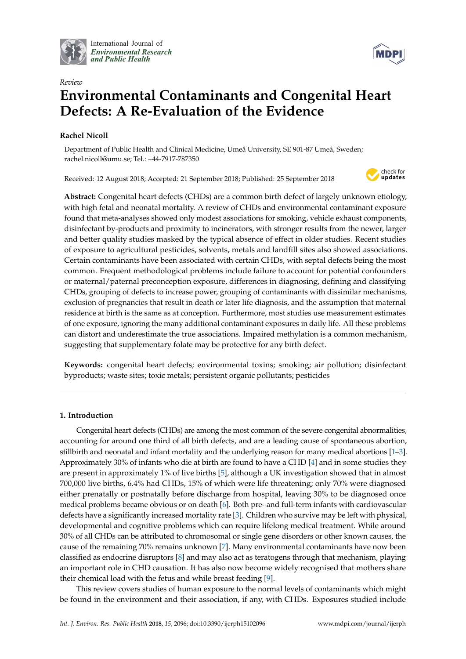

International Journal of *[Environmental Research](http://www.mdpi.com/journal/ijerph) and Public Health*



# *Review* **Environmental Contaminants and Congenital Heart Defects: A Re-Evaluation of the Evidence**

# **Rachel Nicoll**

Department of Public Health and Clinical Medicine, Umeå University, SE 901-87 Umeå, Sweden; rachel.nicoll@umu.se; Tel.: +44-7917-787350

Received: 12 August 2018; Accepted: 21 September 2018; Published: 25 September 2018



**Abstract:** Congenital heart defects (CHDs) are a common birth defect of largely unknown etiology, with high fetal and neonatal mortality. A review of CHDs and environmental contaminant exposure found that meta-analyses showed only modest associations for smoking, vehicle exhaust components, disinfectant by-products and proximity to incinerators, with stronger results from the newer, larger and better quality studies masked by the typical absence of effect in older studies. Recent studies of exposure to agricultural pesticides, solvents, metals and landfill sites also showed associations. Certain contaminants have been associated with certain CHDs, with septal defects being the most common. Frequent methodological problems include failure to account for potential confounders or maternal/paternal preconception exposure, differences in diagnosing, defining and classifying CHDs, grouping of defects to increase power, grouping of contaminants with dissimilar mechanisms, exclusion of pregnancies that result in death or later life diagnosis, and the assumption that maternal residence at birth is the same as at conception. Furthermore, most studies use measurement estimates of one exposure, ignoring the many additional contaminant exposures in daily life. All these problems can distort and underestimate the true associations. Impaired methylation is a common mechanism, suggesting that supplementary folate may be protective for any birth defect.

**Keywords:** congenital heart defects; environmental toxins; smoking; air pollution; disinfectant byproducts; waste sites; toxic metals; persistent organic pollutants; pesticides

# **1. Introduction**

Congenital heart defects (CHDs) are among the most common of the severe congenital abnormalities, accounting for around one third of all birth defects, and are a leading cause of spontaneous abortion, stillbirth and neonatal and infant mortality and the underlying reason for many medical abortions [\[1](#page-17-0)[–3\]](#page-17-1). Approximately 30% of infants who die at birth are found to have a CHD [\[4\]](#page-17-2) and in some studies they are present in approximately 1% of live births [\[5\]](#page-17-3), although a UK investigation showed that in almost 700,000 live births, 6.4% had CHDs, 15% of which were life threatening; only 70% were diagnosed either prenatally or postnatally before discharge from hospital, leaving 30% to be diagnosed once medical problems became obvious or on death [\[6\]](#page-17-4). Both pre- and full-term infants with cardiovascular defects have a significantly increased mortality rate [\[3\]](#page-17-1). Children who survive may be left with physical, developmental and cognitive problems which can require lifelong medical treatment. While around 30% of all CHDs can be attributed to chromosomal or single gene disorders or other known causes, the cause of the remaining 70% remains unknown [\[7\]](#page-17-5). Many environmental contaminants have now been classified as endocrine disruptors [\[8\]](#page-17-6) and may also act as teratogens through that mechanism, playing an important role in CHD causation. It has also now become widely recognised that mothers share their chemical load with the fetus and while breast feeding [\[9\]](#page-18-0).

This review covers studies of human exposure to the normal levels of contaminants which might be found in the environment and their association, if any, with CHDs. Exposures studied include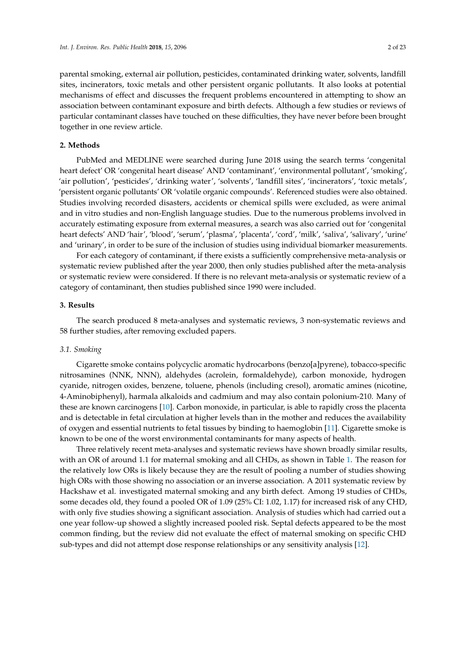parental smoking, external air pollution, pesticides, contaminated drinking water, solvents, landfill sites, incinerators, toxic metals and other persistent organic pollutants. It also looks at potential mechanisms of effect and discusses the frequent problems encountered in attempting to show an association between contaminant exposure and birth defects. Although a few studies or reviews of particular contaminant classes have touched on these difficulties, they have never before been brought together in one review article.

## **2. Methods**

PubMed and MEDLINE were searched during June 2018 using the search terms 'congenital heart defect' OR 'congenital heart disease' AND 'contaminant', 'environmental pollutant', 'smoking', 'air pollution', 'pesticides', 'drinking water', 'solvents', 'landfill sites', 'incinerators', 'toxic metals', 'persistent organic pollutants' OR 'volatile organic compounds'. Referenced studies were also obtained. Studies involving recorded disasters, accidents or chemical spills were excluded, as were animal and in vitro studies and non-English language studies. Due to the numerous problems involved in accurately estimating exposure from external measures, a search was also carried out for 'congenital heart defects' AND 'hair', 'blood', 'serum', 'plasma', 'placenta', 'cord', 'milk', 'saliva', 'salivary', 'urine' and 'urinary', in order to be sure of the inclusion of studies using individual biomarker measurements.

For each category of contaminant, if there exists a sufficiently comprehensive meta-analysis or systematic review published after the year 2000, then only studies published after the meta-analysis or systematic review were considered. If there is no relevant meta-analysis or systematic review of a category of contaminant, then studies published since 1990 were included.

## **3. Results**

The search produced 8 meta-analyses and systematic reviews, 3 non-systematic reviews and 58 further studies, after removing excluded papers.

## *3.1. Smoking*

Cigarette smoke contains polycyclic aromatic hydrocarbons (benzo[a]pyrene), tobacco-specific nitrosamines (NNK, NNN), aldehydes (acrolein, formaldehyde), carbon monoxide, hydrogen cyanide, nitrogen oxides, benzene, toluene, phenols (including cresol), aromatic amines (nicotine, 4-Aminobiphenyl), harmala alkaloids and cadmium and may also contain polonium-210. Many of these are known carcinogens [\[10\]](#page-18-1). Carbon monoxide, in particular, is able to rapidly cross the placenta and is detectable in fetal circulation at higher levels than in the mother and reduces the availability of oxygen and essential nutrients to fetal tissues by binding to haemoglobin [\[11\]](#page-18-2). Cigarette smoke is known to be one of the worst environmental contaminants for many aspects of health.

Three relatively recent meta-analyses and systematic reviews have shown broadly similar results, with an OR of around 1.1 for maternal smoking and all CHDs, as shown in Table [1.](#page-2-0) The reason for the relatively low ORs is likely because they are the result of pooling a number of studies showing high ORs with those showing no association or an inverse association. A 2011 systematic review by Hackshaw et al. investigated maternal smoking and any birth defect. Among 19 studies of CHDs, some decades old, they found a pooled OR of 1.09 (25% CI: 1.02, 1.17) for increased risk of any CHD, with only five studies showing a significant association. Analysis of studies which had carried out a one year follow-up showed a slightly increased pooled risk. Septal defects appeared to be the most common finding, but the review did not evaluate the effect of maternal smoking on specific CHD sub-types and did not attempt dose response relationships or any sensitivity analysis [\[12\]](#page-18-3).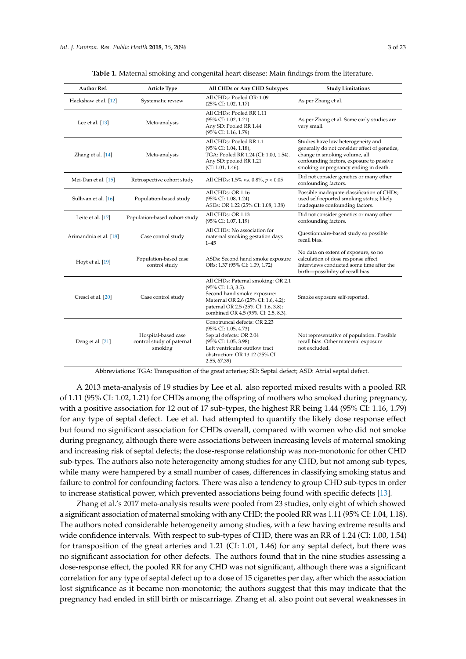<span id="page-2-0"></span>

| Author Ref.            | <b>Article Type</b>                                         | All CHDs or Any CHD Subtypes                                                                                                                                                                                  | <b>Study Limitations</b>                                                                                                                                                                                  |
|------------------------|-------------------------------------------------------------|---------------------------------------------------------------------------------------------------------------------------------------------------------------------------------------------------------------|-----------------------------------------------------------------------------------------------------------------------------------------------------------------------------------------------------------|
| Hackshaw et al. [12]   | Systematic review                                           | All CHDs: Pooled OR: 1.09<br>(25% CI: 1.02, 1.17)                                                                                                                                                             | As per Zhang et al.                                                                                                                                                                                       |
| Lee et al. $[13]$      | Meta-analysis                                               | All CHDs: Pooled RR 1.11<br>(95% CI: 1.02, 1.21)<br>Any SD: Pooled RR 1.44<br>(95% CI: 1.16, 1.79)                                                                                                            | As per Zhang et al. Some early studies are<br>very small.                                                                                                                                                 |
| Zhang et al. [14]      | Meta-analysis                                               | All CHDs: Pooled RR 1.1<br>(95% CI: 1.04, 1.18),<br>TGA: Pooled RR 1.24 (CI: 1.00, 1.54).<br>Any SD: pooled RR 1.21<br>(CI: 1.01, 1.46).                                                                      | Studies have low heterogeneity and<br>generally do not consider effect of genetics,<br>change in smoking volume, all<br>confounding factors, exposure to passive<br>smoking or pregnancy ending in death. |
| Mei-Dan et al. [15]    | Retrospective cohort study                                  | All CHDs: 1.5% vs. 0.8%, $p < 0.05$                                                                                                                                                                           | Did not consider genetics or many other<br>confounding factors.                                                                                                                                           |
| Sullivan et al. [16]   | Population-based study                                      | All CHDs: OR 1.16<br>(95% CI: 1.08, 1.24)<br>ASDs: OR 1.22 (25% CI: 1.08, 1.38)                                                                                                                               | Possible inadequate classification of CHDs;<br>used self-reported smoking status; likely<br>inadequate confounding factors.                                                                               |
| Leite et al. [17]      | Population-based cohort study                               | All CHDs: OR 1.13<br>(95% CI: 1.07, 1.19)                                                                                                                                                                     | Did not consider genetics or many other<br>confounding factors.                                                                                                                                           |
| Arimandnia et al. [18] | Case control study                                          | All CHDs: No association for<br>maternal smoking gestation days<br>$1 - 45$                                                                                                                                   | Questionnaire-based study so possible<br>recall bias.                                                                                                                                                     |
| Hoyt et al. [19]       | Population-based case<br>control study                      | ASDs: Second hand smoke exposure<br>ORs: 1.37 (95% CI: 1.09, 1.72)                                                                                                                                            | No data on extent of exposure, so no<br>calculation of dose response effect.<br>Interviews conducted some time after the<br>birth-possibility of recall bias.                                             |
| Cresci et al. [20]     | Case control study                                          | All CHDs: Paternal smoking: OR 2.1<br>(95% CI: 1.3, 3.5).<br>Second hand smoke exposure:<br>Maternal OR 2.6 (25% CI: 1.6, 4.2);<br>paternal OR 2.5 (25% CI: 1.6, 3.8);<br>combined OR 4.5 (95% CI: 2.5, 8.3). | Smoke exposure self-reported.                                                                                                                                                                             |
| Deng et al. [21]       | Hospital-based case<br>control study of paternal<br>smoking | Conotruncal defects: OR 2.23<br>(95% CI: 1.05, 4.73)<br>Septal defects: OR 2.04<br>(95% CI: 1.05, 3.98)<br>Left ventricular outflow tract<br>obstruction: OR 13.12 (25% CI<br>2.55, 67.39                     | Not representative of population. Possible<br>recall bias. Other maternal exposure<br>not excluded.                                                                                                       |

**Table 1.** Maternal smoking and congenital heart disease: Main findings from the literature.

Abbreviations: TGA: Transposition of the great arteries; SD: Septal defect; ASD: Atrial septal defect.

A 2013 meta-analysis of 19 studies by Lee et al. also reported mixed results with a pooled RR of 1.11 (95% CI: 1.02, 1.21) for CHDs among the offspring of mothers who smoked during pregnancy, with a positive association for 12 out of 17 sub-types, the highest RR being 1.44 (95% CI: 1.16, 1.79) for any type of septal defect. Lee et al. had attempted to quantify the likely dose response effect but found no significant association for CHDs overall, compared with women who did not smoke during pregnancy, although there were associations between increasing levels of maternal smoking and increasing risk of septal defects; the dose-response relationship was non-monotonic for other CHD sub-types. The authors also note heterogeneity among studies for any CHD, but not among sub-types, while many were hampered by a small number of cases, differences in classifying smoking status and failure to control for confounding factors. There was also a tendency to group CHD sub-types in order to increase statistical power, which prevented associations being found with specific defects [\[13\]](#page-18-4).

Zhang et al.'s 2017 meta-analysis results were pooled from 23 studies, only eight of which showed a significant association of maternal smoking with any CHD; the pooled RR was 1.11 (95% CI: 1.04, 1.18). The authors noted considerable heterogeneity among studies, with a few having extreme results and wide confidence intervals. With respect to sub-types of CHD, there was an RR of 1.24 (CI: 1.00, 1.54) for transposition of the great arteries and 1.21 (CI: 1.01, 1.46) for any septal defect, but there was no significant association for other defects. The authors found that in the nine studies assessing a dose-response effect, the pooled RR for any CHD was not significant, although there was a significant correlation for any type of septal defect up to a dose of 15 cigarettes per day, after which the association lost significance as it became non-monotonic; the authors suggest that this may indicate that the pregnancy had ended in still birth or miscarriage. Zhang et al. also point out several weaknesses in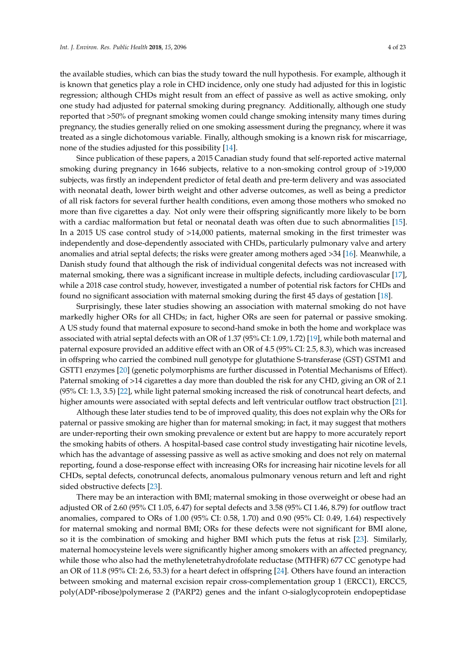the available studies, which can bias the study toward the null hypothesis. For example, although it is known that genetics play a role in CHD incidence, only one study had adjusted for this in logistic regression; although CHDs might result from an effect of passive as well as active smoking, only one study had adjusted for paternal smoking during pregnancy. Additionally, although one study reported that >50% of pregnant smoking women could change smoking intensity many times during pregnancy, the studies generally relied on one smoking assessment during the pregnancy, where it was treated as a single dichotomous variable. Finally, although smoking is a known risk for miscarriage, none of the studies adjusted for this possibility [\[14\]](#page-18-5).

Since publication of these papers, a 2015 Canadian study found that self-reported active maternal smoking during pregnancy in 1646 subjects, relative to a non-smoking control group of >19,000 subjects, was firstly an independent predictor of fetal death and pre-term delivery and was associated with neonatal death, lower birth weight and other adverse outcomes, as well as being a predictor of all risk factors for several further health conditions, even among those mothers who smoked no more than five cigarettes a day. Not only were their offspring significantly more likely to be born with a cardiac malformation but fetal or neonatal death was often due to such abnormalities [\[15\]](#page-18-6). In a 2015 US case control study of >14,000 patients, maternal smoking in the first trimester was independently and dose-dependently associated with CHDs, particularly pulmonary valve and artery anomalies and atrial septal defects; the risks were greater among mothers aged >34 [\[16\]](#page-18-7). Meanwhile, a Danish study found that although the risk of individual congenital defects was not increased with maternal smoking, there was a significant increase in multiple defects, including cardiovascular [\[17\]](#page-18-8), while a 2018 case control study, however, investigated a number of potential risk factors for CHDs and found no significant association with maternal smoking during the first 45 days of gestation [\[18\]](#page-18-9).

Surprisingly, these later studies showing an association with maternal smoking do not have markedly higher ORs for all CHDs; in fact, higher ORs are seen for paternal or passive smoking. A US study found that maternal exposure to second-hand smoke in both the home and workplace was associated with atrial septal defects with an OR of 1.37 (95% CI: 1.09, 1.72) [\[19\]](#page-18-10), while both maternal and paternal exposure provided an additive effect with an OR of 4.5 (95% CI: 2.5, 8.3), which was increased in offspring who carried the combined null genotype for glutathione S-transferase (GST) GSTM1 and GSTT1 enzymes [\[20\]](#page-18-11) (genetic polymorphisms are further discussed in Potential Mechanisms of Effect). Paternal smoking of >14 cigarettes a day more than doubled the risk for any CHD, giving an OR of 2.1 (95% CI: 1.3, 3.5) [\[22\]](#page-18-13), while light paternal smoking increased the risk of conotruncal heart defects, and higher amounts were associated with septal defects and left ventricular outflow tract obstruction [\[21\]](#page-18-12).

Although these later studies tend to be of improved quality, this does not explain why the ORs for paternal or passive smoking are higher than for maternal smoking; in fact, it may suggest that mothers are under-reporting their own smoking prevalence or extent but are happy to more accurately report the smoking habits of others. A hospital-based case control study investigating hair nicotine levels, which has the advantage of assessing passive as well as active smoking and does not rely on maternal reporting, found a dose-response effect with increasing ORs for increasing hair nicotine levels for all CHDs, septal defects, conotruncal defects, anomalous pulmonary venous return and left and right sided obstructive defects [\[23\]](#page-18-14).

There may be an interaction with BMI; maternal smoking in those overweight or obese had an adjusted OR of 2.60 (95% CI 1.05, 6.47) for septal defects and 3.58 (95% CI 1.46, 8.79) for outflow tract anomalies, compared to ORs of 1.00 (95% CI: 0.58, 1.70) and 0.90 (95% CI: 0.49, 1.64) respectively for maternal smoking and normal BMI; ORs for these defects were not significant for BMI alone, so it is the combination of smoking and higher BMI which puts the fetus at risk [\[23\]](#page-18-14). Similarly, maternal homocysteine levels were significantly higher among smokers with an affected pregnancy, while those who also had the methylenetetrahydrofolate reductase (MTHFR) 677 CC genotype had an OR of 11.8 (95% CI: 2.6, 53.3) for a heart defect in offspring [\[24\]](#page-18-15). Others have found an interaction between smoking and maternal excision repair cross-complementation group 1 (ERCC1), ERCC5, poly(ADP-ribose)polymerase 2 (PARP2) genes and the infant O-sialoglycoprotein endopeptidase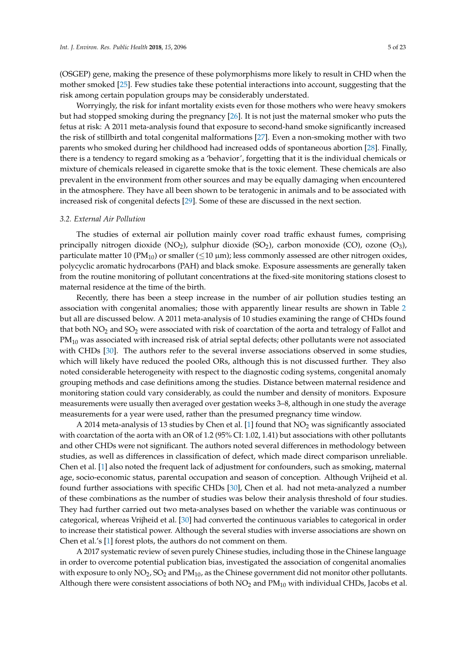(OSGEP) gene, making the presence of these polymorphisms more likely to result in CHD when the mother smoked [\[25\]](#page-18-16). Few studies take these potential interactions into account, suggesting that the risk among certain population groups may be considerably understated.

Worryingly, the risk for infant mortality exists even for those mothers who were heavy smokers but had stopped smoking during the pregnancy [\[26\]](#page-18-17). It is not just the maternal smoker who puts the fetus at risk: A 2011 meta-analysis found that exposure to second-hand smoke significantly increased the risk of stillbirth and total congenital malformations [\[27\]](#page-18-18). Even a non-smoking mother with two parents who smoked during her childhood had increased odds of spontaneous abortion [\[28\]](#page-19-0). Finally, there is a tendency to regard smoking as a 'behavior', forgetting that it is the individual chemicals or mixture of chemicals released in cigarette smoke that is the toxic element. These chemicals are also prevalent in the environment from other sources and may be equally damaging when encountered in the atmosphere. They have all been shown to be teratogenic in animals and to be associated with increased risk of congenital defects [\[29\]](#page-19-1). Some of these are discussed in the next section.

### *3.2. External Air Pollution*

The studies of external air pollution mainly cover road traffic exhaust fumes, comprising principally nitrogen dioxide  $(NO_2)$ , sulphur dioxide  $(SO_2)$ , carbon monoxide  $(CO)$ , ozone  $(O_3)$ , particulate matter 10 (PM<sub>10</sub>) or smaller ( $\leq$ 10 µm); less commonly assessed are other nitrogen oxides, polycyclic aromatic hydrocarbons (PAH) and black smoke. Exposure assessments are generally taken from the routine monitoring of pollutant concentrations at the fixed-site monitoring stations closest to maternal residence at the time of the birth.

Recently, there has been a steep increase in the number of air pollution studies testing an association with congenital anomalies; those with apparently linear results are shown in Table [2](#page-5-0) but all are discussed below. A 2011 meta-analysis of 10 studies examining the range of CHDs found that both  $NO<sub>2</sub>$  and  $SO<sub>2</sub>$  were associated with risk of coarctation of the aorta and tetralogy of Fallot and  $PM_{10}$  was associated with increased risk of atrial septal defects; other pollutants were not associated with CHDs [\[30\]](#page-19-2). The authors refer to the several inverse associations observed in some studies, which will likely have reduced the pooled ORs, although this is not discussed further. They also noted considerable heterogeneity with respect to the diagnostic coding systems, congenital anomaly grouping methods and case definitions among the studies. Distance between maternal residence and monitoring station could vary considerably, as could the number and density of monitors. Exposure measurements were usually then averaged over gestation weeks 3–8, although in one study the average measurements for a year were used, rather than the presumed pregnancy time window.

A 2014 meta-analysis of 13 studies by Chen et al. [\[1\]](#page-17-0) found that  $NO<sub>2</sub>$  was significantly associated with coarctation of the aorta with an OR of 1.2 (95% CI: 1.02, 1.41) but associations with other pollutants and other CHDs were not significant. The authors noted several differences in methodology between studies, as well as differences in classification of defect, which made direct comparison unreliable. Chen et al. [\[1\]](#page-17-0) also noted the frequent lack of adjustment for confounders, such as smoking, maternal age, socio-economic status, parental occupation and season of conception. Although Vrijheid et al. found further associations with specific CHDs [\[30\]](#page-19-2), Chen et al. had not meta-analyzed a number of these combinations as the number of studies was below their analysis threshold of four studies. They had further carried out two meta-analyses based on whether the variable was continuous or categorical, whereas Vrijheid et al. [\[30\]](#page-19-2) had converted the continuous variables to categorical in order to increase their statistical power. Although the several studies with inverse associations are shown on Chen et al.'s [\[1\]](#page-17-0) forest plots, the authors do not comment on them.

A 2017 systematic review of seven purely Chinese studies, including those in the Chinese language in order to overcome potential publication bias, investigated the association of congenital anomalies with exposure to only  $NO<sub>2</sub>$ ,  $SO<sub>2</sub>$  and  $PM<sub>10</sub>$ , as the Chinese government did not monitor other pollutants. Although there were consistent associations of both  $NO<sub>2</sub>$  and  $PM<sub>10</sub>$  with individual CHDs, Jacobs et al.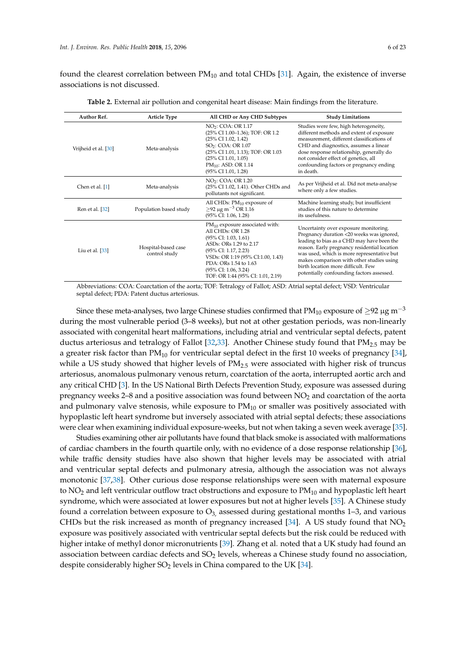found the clearest correlation between  $PM_{10}$  and total CHDs [\[31\]](#page-19-3). Again, the existence of inverse associations is not discussed.

<span id="page-5-0"></span>

| Author Ref.          | <b>Article Type</b>                  | All CHD or Any CHD Subtypes                                                                                                                                                                                                                                                              | <b>Study Limitations</b>                                                                                                                                                                                                                                                                                                                                       |
|----------------------|--------------------------------------|------------------------------------------------------------------------------------------------------------------------------------------------------------------------------------------------------------------------------------------------------------------------------------------|----------------------------------------------------------------------------------------------------------------------------------------------------------------------------------------------------------------------------------------------------------------------------------------------------------------------------------------------------------------|
| Vrijheid et al. [30] | Meta-analysis                        | NO <sub>2</sub> : COA: OR 1.17<br>(25% CI 1.00-1.36); TOF: OR 1.2<br>(25% CI 1.02, 1.42)<br>SO <sub>2</sub> : COA: OR 1.07<br>(25% CI 1.01, 1.13); TOF: OR 1.03<br>$(25\% \text{ CI } 1.01, 1.05)$<br>$PM_{10}$ : ASD: OR 1.14<br>(95% CI 1.01, 1.28)                                    | Studies were few, high heterogeneity,<br>different methods and extent of exposure<br>measurement, different classifications of<br>CHD and diagnostics, assumes a linear<br>dose response relationship, generally do<br>not consider effect of genetics, all<br>confounding factors or pregnancy ending<br>in death.                                            |
| Chen et al. [1]      | Meta-analysis                        | NO <sub>2</sub> : COA: OR 1.20<br>(25% CI 1.02, 1.41). Other CHDs and<br>pollutants not significant.                                                                                                                                                                                     | As per Vrijheid et al. Did not meta-analyse<br>where only a few studies.                                                                                                                                                                                                                                                                                       |
| Ren et al. [32]      | Population based study               | All CHDs: $PM_{10}$ exposure of<br>$\geq$ 92 µg m <sup>-3</sup> OR 1.16<br>$(95\% \text{ CI: } 1.06, 1.28)$                                                                                                                                                                              | Machine learning study, but insufficient<br>studies of this nature to determine<br>its usefulness.                                                                                                                                                                                                                                                             |
| Liu et al. $[33]$    | Hospital-based case<br>control study | $PM_{10}$ exposure associated with:<br>All CHDs: OR 1.28<br>$(95\% \text{ CI: } 1.03, 1.61)$<br>ASDs: ORs 1.29 to 2.17<br>$(95\%$ CI: 1.17, 2.23)<br>VSDs: OR 1:19 (95% CI:1.00, 1.43)<br>PDA: ORs 1.54 to 1.63<br>$(95\% \text{ CI: } 1.06, 3.24)$<br>TOF: OR 1:44 (95% CI: 1.01, 2.19) | Uncertainty over exposure monitoring.<br>Pregnancy duration <20 weeks was ignored,<br>leading to bias as a CHD may have been the<br>reason. Early pregnancy residential location<br>was used, which is more representative but<br>makes comparison with other studies using<br>birth location more difficult. Few<br>potentially confounding factors assessed. |

**Table 2.** External air pollution and congenital heart disease: Main findings from the literature.

Abbreviations: COA: Coarctation of the aorta; TOF: Tetralogy of Fallot; ASD: Atrial septal defect; VSD: Ventricular septal defect; PDA: Patent ductus arteriosus.

Since these meta-analyses, two large Chinese studies confirmed that  $PM_{10}$  exposure of  $\geq$ 92  $\mu$ g m<sup>-3</sup> during the most vulnerable period (3–8 weeks), but not at other gestation periods, was non-linearly associated with congenital heart malformations, including atrial and ventricular septal defects, patent ductus arteriosus and tetralogy of Fallot [\[32,](#page-19-4)[33\]](#page-19-5). Another Chinese study found that  $PM_{2.5}$  may be a greater risk factor than  $PM_{10}$  for ventricular septal defect in the first 10 weeks of pregnancy [\[34\]](#page-19-6), while a US study showed that higher levels of  $PM_{2.5}$  were associated with higher risk of truncus arteriosus, anomalous pulmonary venous return, coarctation of the aorta, interrupted aortic arch and any critical CHD [\[3\]](#page-17-1). In the US National Birth Defects Prevention Study, exposure was assessed during pregnancy weeks 2–8 and a positive association was found between  $NO<sub>2</sub>$  and coarctation of the aorta and pulmonary valve stenosis, while exposure to  $PM_{10}$  or smaller was positively associated with hypoplastic left heart syndrome but inversely associated with atrial septal defects; these associations were clear when examining individual exposure-weeks, but not when taking a seven week average [\[35\]](#page-19-7).

Studies examining other air pollutants have found that black smoke is associated with malformations of cardiac chambers in the fourth quartile only, with no evidence of a dose response relationship [\[36\]](#page-19-8), while traffic density studies have also shown that higher levels may be associated with atrial and ventricular septal defects and pulmonary atresia, although the association was not always monotonic [\[37,](#page-19-9)[38\]](#page-19-10). Other curious dose response relationships were seen with maternal exposure to  $NO<sub>2</sub>$  and left ventricular outflow tract obstructions and exposure to  $PM<sub>10</sub>$  and hypoplastic left heart syndrome, which were associated at lower exposures but not at higher levels [\[35\]](#page-19-7). A Chinese study found a correlation between exposure to  $O_3$ , assessed during gestational months 1–3, and various CHDs but the risk increased as month of pregnancy increased [\[34\]](#page-19-6). A US study found that  $NO<sub>2</sub>$ exposure was positively associated with ventricular septal defects but the risk could be reduced with higher intake of methyl donor micronutrients [\[39\]](#page-19-11). Zhang et al. noted that a UK study had found an association between cardiac defects and  $SO<sub>2</sub>$  levels, whereas a Chinese study found no association, despite considerably higher  $SO_2$  levels in China compared to the UK [\[34\]](#page-19-6).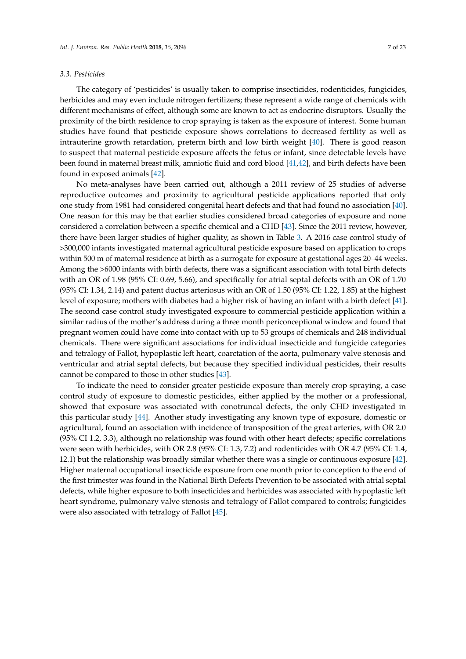### *3.3. Pesticides*

The category of 'pesticides' is usually taken to comprise insecticides, rodenticides, fungicides, herbicides and may even include nitrogen fertilizers; these represent a wide range of chemicals with different mechanisms of effect, although some are known to act as endocrine disruptors. Usually the proximity of the birth residence to crop spraying is taken as the exposure of interest. Some human studies have found that pesticide exposure shows correlations to decreased fertility as well as intrauterine growth retardation, preterm birth and low birth weight [\[40\]](#page-19-12). There is good reason to suspect that maternal pesticide exposure affects the fetus or infant, since detectable levels have been found in maternal breast milk, amniotic fluid and cord blood [\[41](#page-19-13)[,42\]](#page-19-14), and birth defects have been found in exposed animals [\[42\]](#page-19-14).

No meta-analyses have been carried out, although a 2011 review of 25 studies of adverse reproductive outcomes and proximity to agricultural pesticide applications reported that only one study from 1981 had considered congenital heart defects and that had found no association [\[40\]](#page-19-12). One reason for this may be that earlier studies considered broad categories of exposure and none considered a correlation between a specific chemical and a CHD [\[43\]](#page-19-15). Since the 2011 review, however, there have been larger studies of higher quality, as shown in Table [3.](#page-7-0) A 2016 case control study of >300,000 infants investigated maternal agricultural pesticide exposure based on application to crops within 500 m of maternal residence at birth as a surrogate for exposure at gestational ages 20–44 weeks. Among the >6000 infants with birth defects, there was a significant association with total birth defects with an OR of 1.98 (95% CI: 0.69, 5.66), and specifically for atrial septal defects with an OR of 1.70 (95% CI: 1.34, 2.14) and patent ductus arteriosus with an OR of 1.50 (95% CI: 1.22, 1.85) at the highest level of exposure; mothers with diabetes had a higher risk of having an infant with a birth defect [\[41\]](#page-19-13). The second case control study investigated exposure to commercial pesticide application within a similar radius of the mother's address during a three month periconceptional window and found that pregnant women could have come into contact with up to 53 groups of chemicals and 248 individual chemicals. There were significant associations for individual insecticide and fungicide categories and tetralogy of Fallot, hypoplastic left heart, coarctation of the aorta, pulmonary valve stenosis and ventricular and atrial septal defects, but because they specified individual pesticides, their results cannot be compared to those in other studies [\[43\]](#page-19-15).

To indicate the need to consider greater pesticide exposure than merely crop spraying, a case control study of exposure to domestic pesticides, either applied by the mother or a professional, showed that exposure was associated with conotruncal defects, the only CHD investigated in this particular study [\[44\]](#page-19-16). Another study investigating any known type of exposure, domestic or agricultural, found an association with incidence of transposition of the great arteries, with OR 2.0 (95% CI 1.2, 3.3), although no relationship was found with other heart defects; specific correlations were seen with herbicides, with OR 2.8 (95% CI: 1.3, 7.2) and rodenticides with OR 4.7 (95% CI: 1.4, 12.1) but the relationship was broadly similar whether there was a single or continuous exposure [\[42\]](#page-19-14). Higher maternal occupational insecticide exposure from one month prior to conception to the end of the first trimester was found in the National Birth Defects Prevention to be associated with atrial septal defects, while higher exposure to both insecticides and herbicides was associated with hypoplastic left heart syndrome, pulmonary valve stenosis and tetralogy of Fallot compared to controls; fungicides were also associated with tetralogy of Fallot [\[45\]](#page-20-0).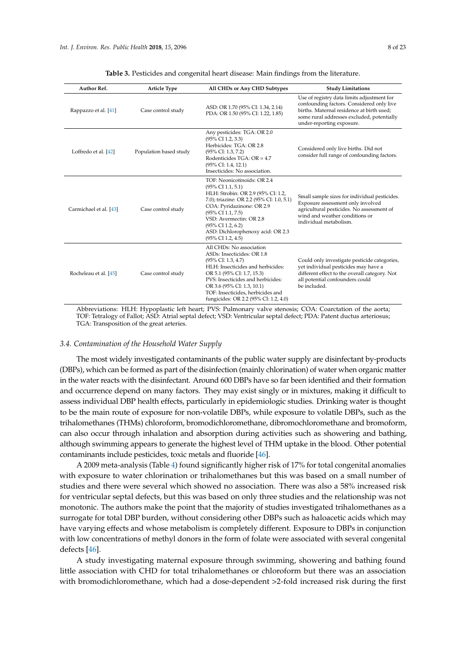<span id="page-7-0"></span>

| Author Ref.            | <b>Article Type</b>    | All CHDs or Any CHD Subtypes                                                                                                                                                                                                                                                                                                     | <b>Study Limitations</b>                                                                                                                                                                                        |
|------------------------|------------------------|----------------------------------------------------------------------------------------------------------------------------------------------------------------------------------------------------------------------------------------------------------------------------------------------------------------------------------|-----------------------------------------------------------------------------------------------------------------------------------------------------------------------------------------------------------------|
| Rappazzo et al. [41]   | Case control study     | ASD: OR 1.70 (95% CI: 1.34, 2.14)<br>PDA: OR 1.50 (95% CI: 1.22, 1.85)                                                                                                                                                                                                                                                           | Use of registry data limits adjustment for<br>confounding factors. Considered only live<br>births. Maternal residence at birth used:<br>some rural addresses excluded, potentially<br>under-reporting exposure. |
| Loffredo et al. [42]   | Population based study | Any pesticides: TGA: OR 2.0<br>$(95\% \text{ CI} 1.2, 3.3)$<br>Herbicides: TGA: OR 2.8<br>$(95\%$ CI: 1.3, 7.2)<br>Rodenticides $TGA$ : $OR = 4.7$<br>$(95\%$ CI: 1.4, 12.1)<br>Insecticides: No association.                                                                                                                    | Considered only live births. Did not<br>consider full range of confounding factors.                                                                                                                             |
| Carmichael et al. [43] | Case control study     | TOF: Neonicotinoids: OR 2.4<br>$(95\% \text{ CI} 1.1, 5.1)$<br>HLH: Strobin: OR 2.9 (95% CI: 1.2,<br>7.0); triazine: OR 2.2 (95% CI: 1.0, 5.1)<br>COA: Pyridazinone: OR 2.9<br>(95% CI 1.1, 7.5)<br>VSD: Avermectin: OR 2.8<br>$(95\% \text{ CI} 1.2, 6.2)$<br>ASD: Dichlorophenoxy acid: OR 2.3<br>$(95\% \text{ CI} 1.2, 4.5)$ | Small sample sizes for individual pesticides.<br>Exposure assessment only involved<br>agricultural pesticides. No assessment of<br>wind and weather conditions or<br>individual metabolism.                     |
| Rocheleau et al. [45]  | Case control study     | All CHDs: No association<br>ASDs: Insecticides: OR 1.8<br>$(95\%$ CI: 1.3, 4.7)<br>HLH: Insecticides and herbicides:<br>OR 5.1 (95% CI: 1.7, 15.3)<br>PVS: Insecticides and herbicides:<br>OR 3.6 (95% CI: 1.3, 10.1)<br>TOF: Insecticides, herbicides and<br>fungicides: OR 2.2 (95% CI: 1.2, 4.0)                              | Could only investigate pesticide categories,<br>yet individual pesticides may have a<br>different effect to the overall category. Not<br>all potential confounders could<br>be included.                        |

| Table 3. Pesticides and congenital heart disease: Main findings from the literature. |  |  |
|--------------------------------------------------------------------------------------|--|--|
|                                                                                      |  |  |

Abbreviations: HLH: Hypoplastic left heart; PVS: Pulmonary valve stenosis; COA: Coarctation of the aorta; TOF: Tetralogy of Fallot; ASD: Atrial septal defect; VSD: Ventricular septal defect; PDA: Patent ductus arteriosus; TGA: Transposition of the great arteries.

#### *3.4. Contamination of the Household Water Supply*

The most widely investigated contaminants of the public water supply are disinfectant by-products (DBPs), which can be formed as part of the disinfection (mainly chlorination) of water when organic matter in the water reacts with the disinfectant. Around 600 DBPs have so far been identified and their formation and occurrence depend on many factors. They may exist singly or in mixtures, making it difficult to assess individual DBP health effects, particularly in epidemiologic studies. Drinking water is thought to be the main route of exposure for non-volatile DBPs, while exposure to volatile DBPs, such as the trihalomethanes (THMs) chloroform, bromodichloromethane, dibromochloromethane and bromoform, can also occur through inhalation and absorption during activities such as showering and bathing, although swimming appears to generate the highest level of THM uptake in the blood. Other potential contaminants include pesticides, toxic metals and fluoride [\[46\]](#page-20-1).

A 2009 meta-analysis (Table [4\)](#page-8-0) found significantly higher risk of 17% for total congenital anomalies with exposure to water chlorination or trihalomethanes but this was based on a small number of studies and there were several which showed no association. There was also a 58% increased risk for ventricular septal defects, but this was based on only three studies and the relationship was not monotonic. The authors make the point that the majority of studies investigated trihalomethanes as a surrogate for total DBP burden, without considering other DBPs such as haloacetic acids which may have varying effects and whose metabolism is completely different. Exposure to DBPs in conjunction with low concentrations of methyl donors in the form of folate were associated with several congenital defects [\[46\]](#page-20-1).

A study investigating maternal exposure through swimming, showering and bathing found little association with CHD for total trihalomethanes or chloroform but there was an association with bromodichloromethane, which had a dose-dependent >2-fold increased risk during the first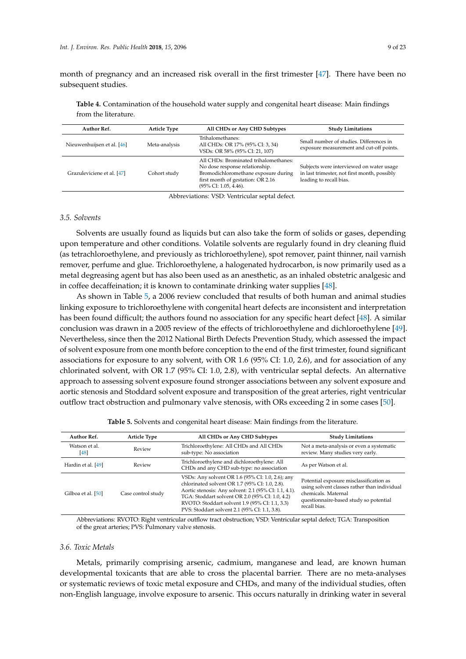month of pregnancy and an increased risk overall in the first trimester [\[47\]](#page-20-2). There have been no subsequent studies.

<span id="page-8-0"></span>**Table 4.** Contamination of the household water supply and congenital heart disease: Main findings from the literature.

| Author Ref.                | Article Type  | All CHDs or Any CHD Subtypes                                                                                                                                                     | <b>Study Limitations</b>                                                                                            |
|----------------------------|---------------|----------------------------------------------------------------------------------------------------------------------------------------------------------------------------------|---------------------------------------------------------------------------------------------------------------------|
| Nieuwenhuijsen et al. [46] | Meta-analysis | Trihalomethanes:<br>All CHDs: OR 17% (95% CI: 3, 34)<br>VSDs: OR 58% (95% CI: 21, 107)                                                                                           | Small number of studies. Differences in<br>exposure measurement and cut-off points.                                 |
| Grazuleviciene et al. [47] | Cohort study  | All CHDs: Brominated trihalomethanes:<br>No dose response relationship.<br>Bromodichloromethane exposure during<br>first month of gestation: OR 2.16<br>$(95\%$ CI: 1.05, 4.46). | Subjects were interviewed on water usage<br>in last trimester, not first month, possibly<br>leading to recall bias. |

Abbreviations: VSD: Ventricular septal defect.

## *3.5. Solvents*

Solvents are usually found as liquids but can also take the form of solids or gases, depending upon temperature and other conditions. Volatile solvents are regularly found in dry cleaning fluid (as tetrachloroethylene, and previously as trichloroethylene), spot remover, paint thinner, nail varnish remover, perfume and glue. Trichloroethylene, a halogenated hydrocarbon, is now primarily used as a metal degreasing agent but has also been used as an anesthetic, as an inhaled obstetric analgesic and in coffee decaffeination; it is known to contaminate drinking water supplies [\[48\]](#page-20-3).

As shown in Table [5,](#page-8-1) a 2006 review concluded that results of both human and animal studies linking exposure to trichloroethylene with congenital heart defects are inconsistent and interpretation has been found difficult; the authors found no association for any specific heart defect [\[48\]](#page-20-3). A similar conclusion was drawn in a 2005 review of the effects of trichloroethylene and dichloroethylene [\[49\]](#page-20-4). Nevertheless, since then the 2012 National Birth Defects Prevention Study, which assessed the impact of solvent exposure from one month before conception to the end of the first trimester, found significant associations for exposure to any solvent, with OR 1.6 (95% CI: 1.0, 2.6), and for association of any chlorinated solvent, with OR 1.7 (95% CI: 1.0, 2.8), with ventricular septal defects. An alternative approach to assessing solvent exposure found stronger associations between any solvent exposure and aortic stenosis and Stoddard solvent exposure and transposition of the great arteries, right ventricular outflow tract obstruction and pulmonary valve stenosis, with ORs exceeding 2 in some cases [\[50\]](#page-20-5).

<span id="page-8-1"></span>

| <b>Author Ref.</b>    | Article Type       | All CHDs or Any CHD Subtypes                                                                                                                                                                                                                                                                                      | <b>Study Limitations</b>                                                                                                                                                 |
|-----------------------|--------------------|-------------------------------------------------------------------------------------------------------------------------------------------------------------------------------------------------------------------------------------------------------------------------------------------------------------------|--------------------------------------------------------------------------------------------------------------------------------------------------------------------------|
| Watson et al.<br>[48] | Review             | Trichloroethylene: All CHDs and All CHDs<br>sub-type: No association                                                                                                                                                                                                                                              | Not a meta-analysis or even a systematic<br>review. Many studies very early.                                                                                             |
| Hardin et al. [49]    | Review             | Trichloroethylene and dichloroethylene: All<br>CHDs and any CHD sub-type: no association                                                                                                                                                                                                                          | As per Watson et al.                                                                                                                                                     |
| Gilboa et al. [50]    | Case control study | VSDs: Any solvent OR 1.6 (95% CI: 1.0, 2.6); any<br>chlorinated solvent OR 1.7 (95% CI: 1.0, 2.8).<br>Aortic stenosis: Any solvent: 2.1 (95% CI: 1.1, 4.1).<br>TGA: Stoddart solvent OR 2.0 (95% CI: 1.0, 4.2)<br>RVOTO: Stoddart solvent 1.9 (95% CI: 1.1, 3.3)<br>PVS: Stoddart solvent 2.1 (95% CI: 1.1, 3.8). | Potential exposure misclassification as<br>using solvent classes rather than individual<br>chemicals. Maternal<br>questionnaire-based study so potential<br>recall bias. |

**Table 5.** Solvents and congenital heart disease: Main findings from the literature.

Abbreviations: RVOTO: Right ventricular outflow tract obstruction; VSD: Ventricular septal defect; TGA: Transposition of the great arteries; PVS: Pulmonary valve stenosis.

## *3.6. Toxic Metals*

Metals, primarily comprising arsenic, cadmium, manganese and lead, are known human developmental toxicants that are able to cross the placental barrier. There are no meta-analyses or systematic reviews of toxic metal exposure and CHDs, and many of the individual studies, often non-English language, involve exposure to arsenic. This occurs naturally in drinking water in several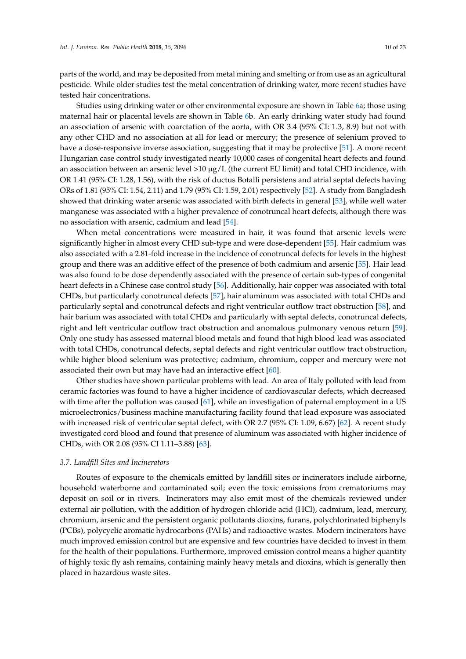parts of the world, and may be deposited from metal mining and smelting or from use as an agricultural pesticide. While older studies test the metal concentration of drinking water, more recent studies have tested hair concentrations.

Studies using drinking water or other environmental exposure are shown in Table [6a](#page-10-0); those using maternal hair or placental levels are shown in Table [6b](#page-10-0). An early drinking water study had found an association of arsenic with coarctation of the aorta, with OR 3.4 (95% CI: 1.3, 8.9) but not with any other CHD and no association at all for lead or mercury; the presence of selenium proved to have a dose-responsive inverse association, suggesting that it may be protective [\[51\]](#page-20-6). A more recent Hungarian case control study investigated nearly 10,000 cases of congenital heart defects and found an association between an arsenic level  $>10 \mu g/L$  (the current EU limit) and total CHD incidence, with OR 1.41 (95% CI: 1.28, 1.56), with the risk of ductus Botalli persistens and atrial septal defects having ORs of 1.81 (95% CI: 1.54, 2.11) and 1.79 (95% CI: 1.59, 2.01) respectively [\[52\]](#page-20-7). A study from Bangladesh showed that drinking water arsenic was associated with birth defects in general [\[53\]](#page-20-8), while well water manganese was associated with a higher prevalence of conotruncal heart defects, although there was no association with arsenic, cadmium and lead [\[54\]](#page-20-9).

When metal concentrations were measured in hair, it was found that arsenic levels were significantly higher in almost every CHD sub-type and were dose-dependent [\[55\]](#page-20-10). Hair cadmium was also associated with a 2.81-fold increase in the incidence of conotruncal defects for levels in the highest group and there was an additive effect of the presence of both cadmium and arsenic [\[55\]](#page-20-10). Hair lead was also found to be dose dependently associated with the presence of certain sub-types of congenital heart defects in a Chinese case control study [\[56\]](#page-20-11). Additionally, hair copper was associated with total CHDs, but particularly conotruncal defects [\[57\]](#page-20-12), hair aluminum was associated with total CHDs and particularly septal and conotruncal defects and right ventricular outflow tract obstruction [\[58\]](#page-20-13), and hair barium was associated with total CHDs and particularly with septal defects, conotruncal defects, right and left ventricular outflow tract obstruction and anomalous pulmonary venous return [\[59\]](#page-20-14). Only one study has assessed maternal blood metals and found that high blood lead was associated with total CHDs, conotruncal defects, septal defects and right ventricular outflow tract obstruction, while higher blood selenium was protective; cadmium, chromium, copper and mercury were not associated their own but may have had an interactive effect [\[60\]](#page-20-15).

Other studies have shown particular problems with lead. An area of Italy polluted with lead from ceramic factories was found to have a higher incidence of cardiovascular defects, which decreased with time after the pollution was caused [\[61\]](#page-20-16), while an investigation of paternal employment in a US microelectronics/business machine manufacturing facility found that lead exposure was associated with increased risk of ventricular septal defect, with OR 2.7 (95% CI: 1.09, 6.67) [\[62\]](#page-20-17). A recent study investigated cord blood and found that presence of aluminum was associated with higher incidence of CHDs, with OR 2.08 (95% CI 1.11–3.88) [\[63\]](#page-21-0).

#### *3.7. Landfill Sites and Incinerators*

Routes of exposure to the chemicals emitted by landfill sites or incinerators include airborne, household waterborne and contaminated soil; even the toxic emissions from crematoriums may deposit on soil or in rivers. Incinerators may also emit most of the chemicals reviewed under external air pollution, with the addition of hydrogen chloride acid (HCl), cadmium, lead, mercury, chromium, arsenic and the persistent organic pollutants dioxins, furans, polychlorinated biphenyls (PCBs), polycyclic aromatic hydrocarbons (PAHs) and radioactive wastes. Modern incinerators have much improved emission control but are expensive and few countries have decided to invest in them for the health of their populations. Furthermore, improved emission control means a higher quantity of highly toxic fly ash remains, containing mainly heavy metals and dioxins, which is generally then placed in hazardous waste sites.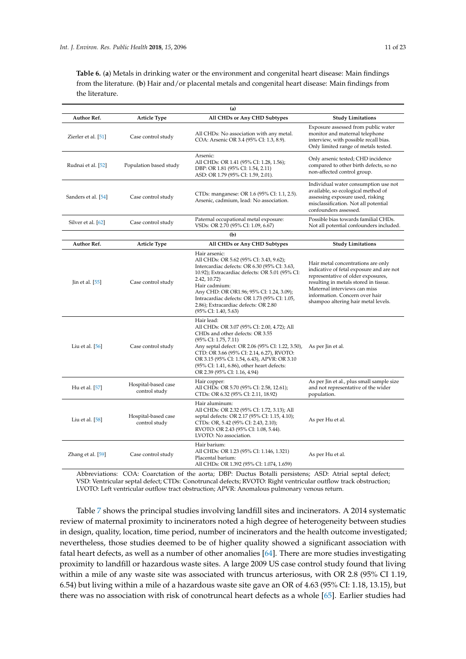<span id="page-10-0"></span>**Table 6.** (**a**) Metals in drinking water or the environment and congenital heart disease: Main findings from the literature. (**b**) Hair and/or placental metals and congenital heart disease: Main findings from the literature.

| (a)                 |                                      |                                                                                                                                                                                                                                                                                                                                                         |                                                                                                                                                                                                                                                                        |  |
|---------------------|--------------------------------------|---------------------------------------------------------------------------------------------------------------------------------------------------------------------------------------------------------------------------------------------------------------------------------------------------------------------------------------------------------|------------------------------------------------------------------------------------------------------------------------------------------------------------------------------------------------------------------------------------------------------------------------|--|
| Author Ref.         | <b>Article Type</b>                  | All CHDs or Any CHD Subtypes                                                                                                                                                                                                                                                                                                                            | <b>Study Limitations</b>                                                                                                                                                                                                                                               |  |
| Zierler et al. [51] | Case control study                   | All CHDs: No association with any metal.<br>COA: Arsenic OR 3.4 (95% CI: 1.3, 8.9).                                                                                                                                                                                                                                                                     | Exposure assessed from public water<br>monitor and maternal telephone<br>interview, with possible recall bias.<br>Only limited range of metals tested.                                                                                                                 |  |
| Rudnai et al. [52]  | Population based study               | Arsenic:<br>All CHDs: OR 1.41 (95% CI: 1.28, 1.56);<br>DBP: OR 1.81 (95% CI: 1.54, 2.11)<br>ASD: OR 1.79 (95% CI: 1.59, 2.01).                                                                                                                                                                                                                          | Only arsenic tested; CHD incidence<br>compared to other birth defects, so no<br>non-affected control group.                                                                                                                                                            |  |
| Sanders et al. [54] | Case control study                   | CTDs: manganese: OR 1.6 (95% CI: 1.1, 2.5).<br>Arsenic, cadmium, lead: No association.                                                                                                                                                                                                                                                                  | Individual water consumption use not<br>available, so ecological method of<br>assessing exposure used, risking<br>misclassification. Not all potential<br>confounders assessed.                                                                                        |  |
| Silver et al. [62]  | Case control study                   | Paternal occupational metal exposure:<br>VSDs: OR 2.70 (95% CI: 1.09, 6.67)                                                                                                                                                                                                                                                                             | Possible bias towards familial CHDs.<br>Not all potential confounders included.                                                                                                                                                                                        |  |
|                     |                                      | (b)                                                                                                                                                                                                                                                                                                                                                     |                                                                                                                                                                                                                                                                        |  |
| Author Ref.         | <b>Article Type</b>                  | All CHDs or Any CHD Subtypes                                                                                                                                                                                                                                                                                                                            | <b>Study Limitations</b>                                                                                                                                                                                                                                               |  |
| Jin et al. $[55]$   | Case control study                   | Hair arsenic:<br>All CHDs: OR 5.62 (95% CI: 3.43, 9.62);<br>Intercardiac defects: OR 6.30 (95% CI: 3.63,<br>10.92); Extracardiac defects: OR 5.01 (95% CI:<br>2.42, 10.72)<br>Hair cadmium:<br>Any CHD: OR OR1.96; 95% CI: 1.24, 3.09);<br>Intracardiac defects: OR 1.73 (95% CI: 1.05,<br>2.86); Extracardiac defects: OR 2.80<br>(95% CI: 1.40, 5.63) | Hair metal concentrations are only<br>indicative of fetal exposure and are not<br>representative of older exposures,<br>resulting in metals stored in tissue.<br>Maternal interviews can miss<br>information. Concern over hair<br>shampoo altering hair metal levels. |  |
| Liu et al. [56]     | Case control study                   | Hair lead:<br>All CHDs: OR 3.07 (95% CI: 2.00, 4.72); All<br>CHDs and other defects: OR 3.55<br>$(95\%$ CI: 1.75, 7.11)<br>Any septal defect: OR 2.06 (95% CI: 1.22, 3.50),<br>CTD: OR 3.66 (95% CI: 2.14, 6.27), RVOTO:<br>OR 3.15 (95% CI: 1.54, 6.43), APVR: OR 3.10<br>(95% CI: 1.41, 6.86), other heart defects:<br>OR 2.39 (95% CI: 1.16, 4.94)   | As per Jin et al.                                                                                                                                                                                                                                                      |  |
| Hu et al. [57]      | Hospital-based case<br>control study | Hair copper:<br>All CHDs: OR 5.70 (95% CI: 2.58, 12.61);<br>CTDs: OR 6.32 (95% CI: 2.11, 18.92)                                                                                                                                                                                                                                                         | As per Jin et al., plus small sample size<br>and not representative of the wider<br>population.                                                                                                                                                                        |  |
| Liu et al. [58]     | Hospital-based case<br>control study | Hair aluminum:<br>All CHDs: OR 2.32 (95% CI: 1.72, 3.13); All<br>septal defects: OR 2.17 (95% CI: 1.15, 4.10);<br>CTDs: OR, 5.42 (95% CI: 2.43, 2.10);<br>RVOTO: OR 2.43 (95% CI: 1.08, 5.44).<br>LVOTO: No association.                                                                                                                                | As per Hu et al.                                                                                                                                                                                                                                                       |  |
| Zhang et al. [59]   | Case control study                   | Hair barium:<br>All CHDs: OR 1.23 (95% CI: 1.146, 1.321)<br>Placental barium:<br>All CHDs: OR 1.392 (95% CI: 1.074, 1.659)                                                                                                                                                                                                                              | As per Hu et al.                                                                                                                                                                                                                                                       |  |

Abbreviations: COA: Coarctation of the aorta; DBP: Ductus Botalli persistens; ASD: Atrial septal defect; VSD: Ventricular septal defect; CTDs: Conotruncal defects; RVOTO: Right ventricular outflow track obstruction; LVOTO: Left ventricular outflow tract obstruction; APVR: Anomalous pulmonary venous return.

Table [7](#page-11-0) shows the principal studies involving landfill sites and incinerators. A 2014 systematic review of maternal proximity to incinerators noted a high degree of heterogeneity between studies in design, quality, location, time period, number of incinerators and the health outcome investigated; nevertheless, those studies deemed to be of higher quality showed a significant association with fatal heart defects, as well as a number of other anomalies [\[64\]](#page-21-1). There are more studies investigating proximity to landfill or hazardous waste sites. A large 2009 US case control study found that living within a mile of any waste site was associated with truncus arteriosus, with OR 2.8 (95% CI 1.19, 6.54) but living within a mile of a hazardous waste site gave an OR of 4.63 (95% CI: 1.18, 13.15), but there was no association with risk of conotruncal heart defects as a whole [\[65\]](#page-21-2). Earlier studies had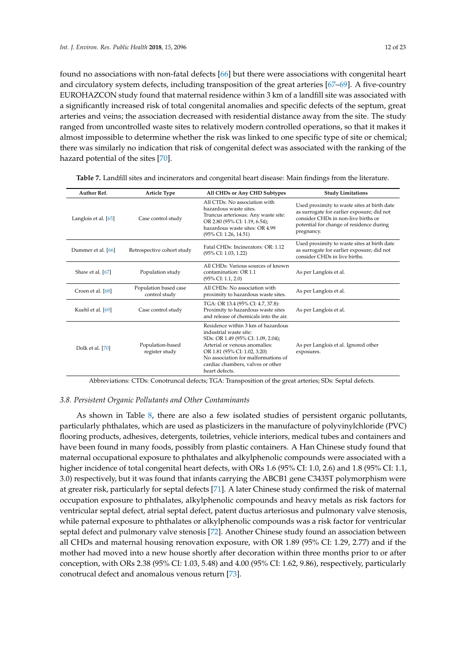found no associations with non-fatal defects [\[66\]](#page-21-3) but there were associations with congenital heart and circulatory system defects, including transposition of the great arteries [\[67–](#page-21-4)[69\]](#page-21-5). A five-country EUROHAZCON study found that maternal residence within 3 km of a landfill site was associated with a significantly increased risk of total congenital anomalies and specific defects of the septum, great arteries and veins; the association decreased with residential distance away from the site. The study ranged from uncontrolled waste sites to relatively modern controlled operations, so that it makes it almost impossible to determine whether the risk was linked to one specific type of site or chemical; there was similarly no indication that risk of congenital defect was associated with the ranking of the hazard potential of the sites [\[70\]](#page-21-6).

| <b>Author Ref.</b>   | <b>Article Type</b>                    | All CHDs or Any CHD Subtypes                                                                                                                                                                                                                                      | <b>Study Limitations</b>                                                                                                                                                                   |
|----------------------|----------------------------------------|-------------------------------------------------------------------------------------------------------------------------------------------------------------------------------------------------------------------------------------------------------------------|--------------------------------------------------------------------------------------------------------------------------------------------------------------------------------------------|
| Langlois et al. [65] | Case control study                     | All CTDs: No association with<br>hazardous waste sites.<br>Truncus arteriosus: Any waste site:<br>OR 2.80 (95% CI: 1.19, 6.54);<br>hazardous waste sites: OR 4.99<br>$(95\%$ CI: 1.26, 14.51)                                                                     | Used proximity to waste sites at birth date<br>as surrogate for earlier exposure; did not<br>consider CHDs in non-live births or<br>potential for change of residence during<br>pregnancy. |
| Dummer et al. [66]   | Retrospective cohort study             | Fatal CHDs: Incinerators: OR: 1.12<br>(95% CI: 1.03, 1.22)                                                                                                                                                                                                        | Used proximity to waste sites at birth date<br>as surrogate for earlier exposure; did not<br>consider CHDs in live births.                                                                 |
| Shaw et al. [67]     | Population study                       | All CHDs: Various sources of known<br>contamination: OR 1.1<br>$(95\%$ CI: 1.1, 2.0)                                                                                                                                                                              | As per Langlois et al.                                                                                                                                                                     |
| Croen et al. [68]    | Population based case<br>control study | All CHDs: No association with<br>proximity to hazardous waste sites.                                                                                                                                                                                              | As per Langlois et al.                                                                                                                                                                     |
| Kuehl et al. [69]    | Case control study                     | TGA: OR 13.4 (95% CI: 4.7, 37.8):<br>Proximity to hazardous waste sites<br>and release of chemicals into the air.                                                                                                                                                 | As per Langlois et al.                                                                                                                                                                     |
| Dolk et al. [70]     | Population-based<br>register study     | Residence within 3 km of hazardous<br>industrial waste site:<br>SDs: OR 1.49 (95% CI: 1.09, 2.04);<br>Arterial or venous anomalies:<br>OR 1.81 (95% CI: 1.02, 3.20)<br>No association for malformations of<br>cardiac chambers, valves or other<br>heart defects. | As per Langlois et al. Ignored other<br>exposures.                                                                                                                                         |

<span id="page-11-0"></span>

Abbreviations: CTDs: Conotruncal defects; TGA: Transposition of the great arteries; SDs: Septal defects.

## *3.8. Persistent Organic Pollutants and Other Contaminants*

As shown in Table [8,](#page-12-0) there are also a few isolated studies of persistent organic pollutants, particularly phthalates, which are used as plasticizers in the manufacture of polyvinylchloride (PVC) flooring products, adhesives, detergents, toiletries, vehicle interiors, medical tubes and containers and have been found in many foods, possibly from plastic containers. A Han Chinese study found that maternal occupational exposure to phthalates and alkylphenolic compounds were associated with a higher incidence of total congenital heart defects, with ORs 1.6 (95% CI: 1.0, 2.6) and 1.8 (95% CI: 1.1, 3.0) respectively, but it was found that infants carrying the ABCB1 gene C3435T polymorphism were at greater risk, particularly for septal defects [\[71\]](#page-21-8). A later Chinese study confirmed the risk of maternal occupation exposure to phthalates, alkylphenolic compounds and heavy metals as risk factors for ventricular septal defect, atrial septal defect, patent ductus arteriosus and pulmonary valve stenosis, while paternal exposure to phthalates or alkylphenolic compounds was a risk factor for ventricular septal defect and pulmonary valve stenosis [\[72\]](#page-21-9). Another Chinese study found an association between all CHDs and maternal housing renovation exposure, with OR 1.89 (95% CI: 1.29, 2.77) and if the mother had moved into a new house shortly after decoration within three months prior to or after conception, with ORs 2.38 (95% CI: 1.03, 5.48) and 4.00 (95% CI: 1.62, 9.86), respectively, particularly conotrucal defect and anomalous venous return [\[73\]](#page-21-10).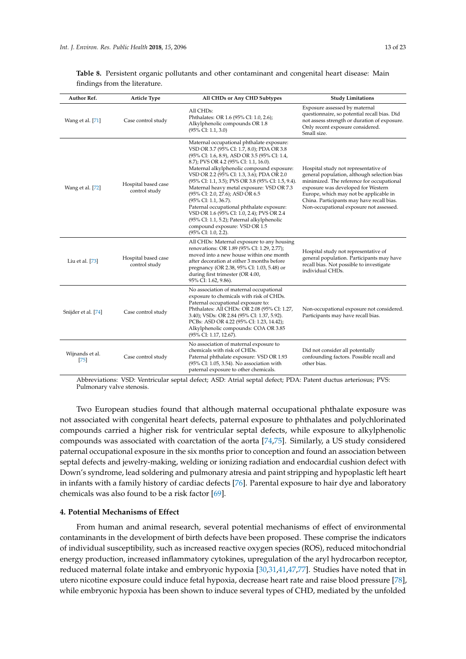| Author Ref.               | Article Type                         | All CHDs or Any CHD Subtypes                                                                                                                                                                                                                                                                                                                                                                                                                                                                                                                                                                                                            | <b>Study Limitations</b>                                                                                                                                                                                                                                                                                 |
|---------------------------|--------------------------------------|-----------------------------------------------------------------------------------------------------------------------------------------------------------------------------------------------------------------------------------------------------------------------------------------------------------------------------------------------------------------------------------------------------------------------------------------------------------------------------------------------------------------------------------------------------------------------------------------------------------------------------------------|----------------------------------------------------------------------------------------------------------------------------------------------------------------------------------------------------------------------------------------------------------------------------------------------------------|
| Wang et al. [71]          | Case control study                   | All CHDs:<br>Phthalates: OR 1.6 (95% CI: 1.0, 2.6);<br>Alkylphenolic compounds OR 1.8<br>$(95\%$ CI: 1.1, 3.0)                                                                                                                                                                                                                                                                                                                                                                                                                                                                                                                          | Exposure assessed by maternal<br>questionnaire, so potential recall bias. Did<br>not assess strength or duration of exposure.<br>Only recent exposure considered.<br>Small size.                                                                                                                         |
| Wang et al. [72]          | Hospital based case<br>control study | Maternal occupational phthalate exposure:<br>VSD OR 3.7 (95% CI: 1.7, 8.0); PDA OR 3.8<br>(95% CI: 1.6, 8.9), ASD OR 3.5 (95% CI: 1.4,<br>8.7); PVS OR 4.2 (95% CI: 1.1, 16.0).<br>Maternal alkylphenolic compound exposure:<br>VSD OR 2.2 (95% CI: 1.3, 3.6); PDA OR 2.0<br>(95% CI: 1.1, 3.5); PVS OR 3.8 (95% CI: 1.5, 9.4).<br>Maternal heavy metal exposure: VSD OR 7.3<br>(95% CI: 2.0, 27.6); ASD OR 6.5<br>(95% CI: 1.1, 36.7).<br>Paternal occupational phthalate exposure:<br>VSD OR 1.6 (95% CI: 1.0, 2.4); PVS OR 2.4<br>(95% CI: 1.1, 5.2); Paternal alkylphenolic<br>compound exposure: VSD OR 1.5<br>(95% CI: 1.0, 2.2). | Hospital study not representative of<br>general population, although selection bias<br>minimized. The reference for occupational<br>exposure was developed for Western<br>Europe, which may not be applicable in<br>China. Participants may have recall bias.<br>Non-occupational exposure not assessed. |
| Liu et al. $[73]$         | Hospital based case<br>control study | All CHDs: Maternal exposure to any housing<br>renovations: OR 1.89 (95% CI: 1.29, 2.77);<br>moved into a new house within one month<br>after decoration at either 3 months before<br>pregnancy (OR 2.38, 95% CI: 1.03, 5.48) or<br>during first trimester (OR 4.00,<br>95% CI: 1.62, 9.86).                                                                                                                                                                                                                                                                                                                                             | Hospital study not representative of<br>general population. Participants may have<br>recall bias. Not possible to investigate<br>individual CHDs.                                                                                                                                                        |
| Snijder et al. [74]       | Case control study                   | No association of maternal occupational<br>exposure to chemicals with risk of CHDs.<br>Paternal occupational exposure to:<br>Phthalates: All CHDs: OR 2.08 (95% CI: 1.27,<br>3.40); VSDs: OR 2.84 (95% CI: 1.37, 5.92).<br>PCBs: ASD OR 4.22 (95% CI: 1.23, 14.42);<br>Alkylphenolic compounds: COA OR 3.85<br>(95% CI: 1.17, 12.67).                                                                                                                                                                                                                                                                                                   | Non-occupational exposure not considered.<br>Participants may have recall bias.                                                                                                                                                                                                                          |
| Wijnands et al.<br>$[75]$ | Case control study                   | No association of maternal exposure to<br>chemicals with risk of CHDs.<br>Paternal phthalate exposure: VSD OR 1.93<br>(95% CI: 1.05, 3.54). No association with<br>paternal exposure to other chemicals.                                                                                                                                                                                                                                                                                                                                                                                                                                | Did not consider all potentially<br>confounding factors. Possible recall and<br>other bias.                                                                                                                                                                                                              |

<span id="page-12-0"></span>**Table 8.** Persistent organic pollutants and other contaminant and congenital heart disease: Main findings from the literature.

Abbreviations: VSD: Ventricular septal defect; ASD: Atrial septal defect; PDA: Patent ductus arteriosus; PVS: Pulmonary valve stenosis.

Two European studies found that although maternal occupational phthalate exposure was not associated with congenital heart defects, paternal exposure to phthalates and polychlorinated compounds carried a higher risk for ventricular septal defects, while exposure to alkylphenolic compounds was associated with coarctation of the aorta [\[74](#page-21-11)[,75\]](#page-21-12). Similarly, a US study considered paternal occupational exposure in the six months prior to conception and found an association between septal defects and jewelry-making, welding or ionizing radiation and endocardial cushion defect with Down's syndrome, lead soldering and pulmonary atresia and paint stripping and hypoplastic left heart in infants with a family history of cardiac defects [\[76\]](#page-21-13). Parental exposure to hair dye and laboratory chemicals was also found to be a risk factor [\[69\]](#page-21-5).

# **4. Potential Mechanisms of Effect**

From human and animal research, several potential mechanisms of effect of environmental contaminants in the development of birth defects have been proposed. These comprise the indicators of individual susceptibility, such as increased reactive oxygen species (ROS), reduced mitochondrial energy production, increased inflammatory cytokines, upregulation of the aryl hydrocarbon receptor, reduced maternal folate intake and embryonic hypoxia [\[30](#page-19-2)[,31](#page-19-3)[,41](#page-19-13)[,47](#page-20-2)[,77\]](#page-21-14). Studies have noted that in utero nicotine exposure could induce fetal hypoxia, decrease heart rate and raise blood pressure [\[78\]](#page-21-15), while embryonic hypoxia has been shown to induce several types of CHD, mediated by the unfolded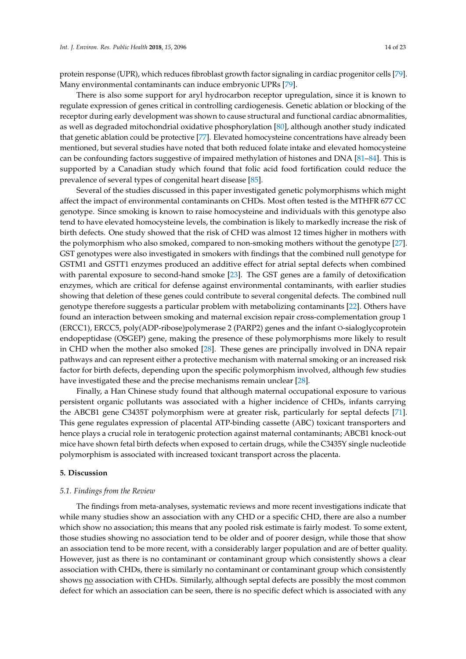protein response (UPR), which reduces fibroblast growth factor signaling in cardiac progenitor cells [\[79\]](#page-21-16). Many environmental contaminants can induce embryonic UPRs [\[79\]](#page-21-16).

There is also some support for aryl hydrocarbon receptor upregulation, since it is known to regulate expression of genes critical in controlling cardiogenesis. Genetic ablation or blocking of the receptor during early development was shown to cause structural and functional cardiac abnormalities, as well as degraded mitochondrial oxidative phosphorylation [\[80\]](#page-21-17), although another study indicated that genetic ablation could be protective [\[77\]](#page-21-14). Elevated homocysteine concentrations have already been mentioned, but several studies have noted that both reduced folate intake and elevated homocysteine can be confounding factors suggestive of impaired methylation of histones and DNA [\[81](#page-22-0)[–84\]](#page-22-1). This is supported by a Canadian study which found that folic acid food fortification could reduce the prevalence of several types of congenital heart disease [\[85\]](#page-22-2).

Several of the studies discussed in this paper investigated genetic polymorphisms which might affect the impact of environmental contaminants on CHDs. Most often tested is the MTHFR 677 CC genotype. Since smoking is known to raise homocysteine and individuals with this genotype also tend to have elevated homocysteine levels, the combination is likely to markedly increase the risk of birth defects. One study showed that the risk of CHD was almost 12 times higher in mothers with the polymorphism who also smoked, compared to non-smoking mothers without the genotype [\[27\]](#page-18-18). GST genotypes were also investigated in smokers with findings that the combined null genotype for GSTM1 and GSTT1 enzymes produced an additive effect for atrial septal defects when combined with parental exposure to second-hand smoke [\[23\]](#page-18-14). The GST genes are a family of detoxification enzymes, which are critical for defense against environmental contaminants, with earlier studies showing that deletion of these genes could contribute to several congenital defects. The combined null genotype therefore suggests a particular problem with metabolizing contaminants [\[22\]](#page-18-13). Others have found an interaction between smoking and maternal excision repair cross-complementation group 1 (ERCC1), ERCC5, poly(ADP-ribose)polymerase 2 (PARP2) genes and the infant O-sialoglycoprotein endopeptidase (OSGEP) gene, making the presence of these polymorphisms more likely to result in CHD when the mother also smoked [\[28\]](#page-19-0). These genes are principally involved in DNA repair pathways and can represent either a protective mechanism with maternal smoking or an increased risk factor for birth defects, depending upon the specific polymorphism involved, although few studies have investigated these and the precise mechanisms remain unclear [\[28\]](#page-19-0).

Finally, a Han Chinese study found that although maternal occupational exposure to various persistent organic pollutants was associated with a higher incidence of CHDs, infants carrying the ABCB1 gene C3435T polymorphism were at greater risk, particularly for septal defects [\[71\]](#page-21-8). This gene regulates expression of placental ATP-binding cassette (ABC) toxicant transporters and hence plays a crucial role in teratogenic protection against maternal contaminants; ABCB1 knock-out mice have shown fetal birth defects when exposed to certain drugs, while the C3435Y single nucleotide polymorphism is associated with increased toxicant transport across the placenta.

#### **5. Discussion**

## *5.1. Findings from the Review*

The findings from meta-analyses, systematic reviews and more recent investigations indicate that while many studies show an association with any CHD or a specific CHD, there are also a number which show no association; this means that any pooled risk estimate is fairly modest. To some extent, those studies showing no association tend to be older and of poorer design, while those that show an association tend to be more recent, with a considerably larger population and are of better quality. However, just as there is no contaminant or contaminant group which consistently shows a clear association with CHDs, there is similarly no contaminant or contaminant group which consistently shows no association with CHDs. Similarly, although septal defects are possibly the most common defect for which an association can be seen, there is no specific defect which is associated with any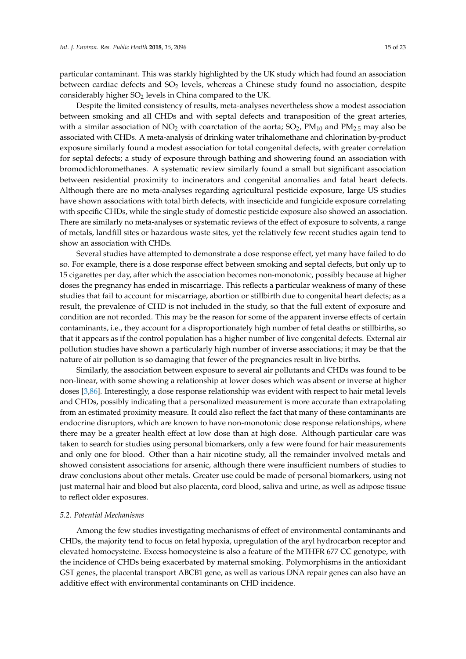particular contaminant. This was starkly highlighted by the UK study which had found an association between cardiac defects and  $SO_2$  levels, whereas a Chinese study found no association, despite considerably higher  $SO<sub>2</sub>$  levels in China compared to the UK.

Despite the limited consistency of results, meta-analyses nevertheless show a modest association between smoking and all CHDs and with septal defects and transposition of the great arteries, with a similar association of NO<sub>2</sub> with coarctation of the aorta;  $SO_2$ ,  $PM_{10}$  and  $PM_{2.5}$  may also be associated with CHDs. A meta-analysis of drinking water trihalomethane and chlorination by-product exposure similarly found a modest association for total congenital defects, with greater correlation for septal defects; a study of exposure through bathing and showering found an association with bromodichloromethanes. A systematic review similarly found a small but significant association between residential proximity to incinerators and congenital anomalies and fatal heart defects. Although there are no meta-analyses regarding agricultural pesticide exposure, large US studies have shown associations with total birth defects, with insecticide and fungicide exposure correlating with specific CHDs, while the single study of domestic pesticide exposure also showed an association. There are similarly no meta-analyses or systematic reviews of the effect of exposure to solvents, a range of metals, landfill sites or hazardous waste sites, yet the relatively few recent studies again tend to show an association with CHDs.

Several studies have attempted to demonstrate a dose response effect, yet many have failed to do so. For example, there is a dose response effect between smoking and septal defects, but only up to 15 cigarettes per day, after which the association becomes non-monotonic, possibly because at higher doses the pregnancy has ended in miscarriage. This reflects a particular weakness of many of these studies that fail to account for miscarriage, abortion or stillbirth due to congenital heart defects; as a result, the prevalence of CHD is not included in the study, so that the full extent of exposure and condition are not recorded. This may be the reason for some of the apparent inverse effects of certain contaminants, i.e., they account for a disproportionately high number of fetal deaths or stillbirths, so that it appears as if the control population has a higher number of live congenital defects. External air pollution studies have shown a particularly high number of inverse associations; it may be that the nature of air pollution is so damaging that fewer of the pregnancies result in live births.

Similarly, the association between exposure to several air pollutants and CHDs was found to be non-linear, with some showing a relationship at lower doses which was absent or inverse at higher doses [\[3](#page-17-1)[,86\]](#page-22-3). Interestingly, a dose response relationship was evident with respect to hair metal levels and CHDs, possibly indicating that a personalized measurement is more accurate than extrapolating from an estimated proximity measure. It could also reflect the fact that many of these contaminants are endocrine disruptors, which are known to have non-monotonic dose response relationships, where there may be a greater health effect at low dose than at high dose. Although particular care was taken to search for studies using personal biomarkers, only a few were found for hair measurements and only one for blood. Other than a hair nicotine study, all the remainder involved metals and showed consistent associations for arsenic, although there were insufficient numbers of studies to draw conclusions about other metals. Greater use could be made of personal biomarkers, using not just maternal hair and blood but also placenta, cord blood, saliva and urine, as well as adipose tissue to reflect older exposures.

### *5.2. Potential Mechanisms*

Among the few studies investigating mechanisms of effect of environmental contaminants and CHDs, the majority tend to focus on fetal hypoxia, upregulation of the aryl hydrocarbon receptor and elevated homocysteine. Excess homocysteine is also a feature of the MTHFR 677 CC genotype, with the incidence of CHDs being exacerbated by maternal smoking. Polymorphisms in the antioxidant GST genes, the placental transport ABCB1 gene, as well as various DNA repair genes can also have an additive effect with environmental contaminants on CHD incidence.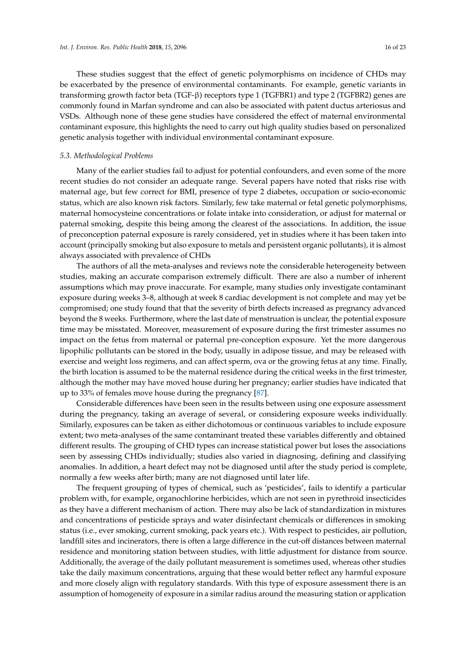These studies suggest that the effect of genetic polymorphisms on incidence of CHDs may be exacerbated by the presence of environmental contaminants. For example, genetic variants in transforming growth factor beta (TGF-β) receptors type 1 (TGFBR1) and type 2 (TGFBR2) genes are commonly found in Marfan syndrome and can also be associated with patent ductus arteriosus and VSDs. Although none of these gene studies have considered the effect of maternal environmental contaminant exposure, this highlights the need to carry out high quality studies based on personalized genetic analysis together with individual environmental contaminant exposure.

#### *5.3. Methodological Problems*

Many of the earlier studies fail to adjust for potential confounders, and even some of the more recent studies do not consider an adequate range. Several papers have noted that risks rise with maternal age, but few correct for BMI, presence of type 2 diabetes, occupation or socio-economic status, which are also known risk factors. Similarly, few take maternal or fetal genetic polymorphisms, maternal homocysteine concentrations or folate intake into consideration, or adjust for maternal or paternal smoking, despite this being among the clearest of the associations. In addition, the issue of preconception paternal exposure is rarely considered, yet in studies where it has been taken into account (principally smoking but also exposure to metals and persistent organic pollutants), it is almost always associated with prevalence of CHDs

The authors of all the meta-analyses and reviews note the considerable heterogeneity between studies, making an accurate comparison extremely difficult. There are also a number of inherent assumptions which may prove inaccurate. For example, many studies only investigate contaminant exposure during weeks 3–8, although at week 8 cardiac development is not complete and may yet be compromised; one study found that that the severity of birth defects increased as pregnancy advanced beyond the 8 weeks. Furthermore, where the last date of menstruation is unclear, the potential exposure time may be misstated. Moreover, measurement of exposure during the first trimester assumes no impact on the fetus from maternal or paternal pre-conception exposure. Yet the more dangerous lipophilic pollutants can be stored in the body, usually in adipose tissue, and may be released with exercise and weight loss regimens, and can affect sperm, ova or the growing fetus at any time. Finally, the birth location is assumed to be the maternal residence during the critical weeks in the first trimester, although the mother may have moved house during her pregnancy; earlier studies have indicated that up to 33% of females move house during the pregnancy [\[87\]](#page-22-4).

Considerable differences have been seen in the results between using one exposure assessment during the pregnancy, taking an average of several, or considering exposure weeks individually. Similarly, exposures can be taken as either dichotomous or continuous variables to include exposure extent; two meta-analyses of the same contaminant treated these variables differently and obtained different results. The grouping of CHD types can increase statistical power but loses the associations seen by assessing CHDs individually; studies also varied in diagnosing, defining and classifying anomalies. In addition, a heart defect may not be diagnosed until after the study period is complete, normally a few weeks after birth; many are not diagnosed until later life.

The frequent grouping of types of chemical, such as 'pesticides', fails to identify a particular problem with, for example, organochlorine herbicides, which are not seen in pyrethroid insecticides as they have a different mechanism of action. There may also be lack of standardization in mixtures and concentrations of pesticide sprays and water disinfectant chemicals or differences in smoking status (i.e., ever smoking, current smoking, pack years etc.). With respect to pesticides, air pollution, landfill sites and incinerators, there is often a large difference in the cut-off distances between maternal residence and monitoring station between studies, with little adjustment for distance from source. Additionally, the average of the daily pollutant measurement is sometimes used, whereas other studies take the daily maximum concentrations, arguing that these would better reflect any harmful exposure and more closely align with regulatory standards. With this type of exposure assessment there is an assumption of homogeneity of exposure in a similar radius around the measuring station or application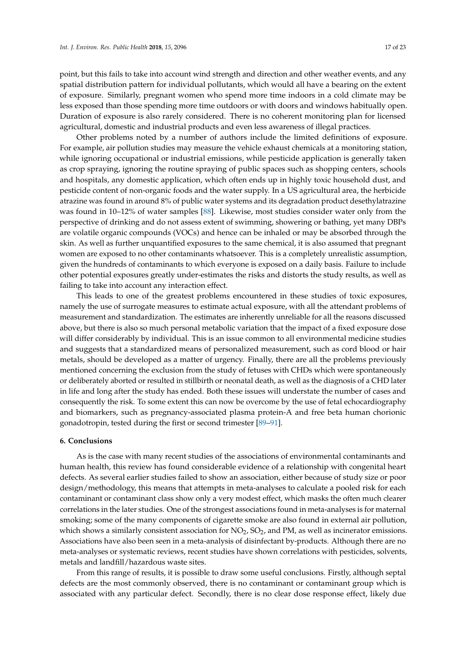point, but this fails to take into account wind strength and direction and other weather events, and any spatial distribution pattern for individual pollutants, which would all have a bearing on the extent of exposure. Similarly, pregnant women who spend more time indoors in a cold climate may be less exposed than those spending more time outdoors or with doors and windows habitually open. Duration of exposure is also rarely considered. There is no coherent monitoring plan for licensed agricultural, domestic and industrial products and even less awareness of illegal practices.

Other problems noted by a number of authors include the limited definitions of exposure. For example, air pollution studies may measure the vehicle exhaust chemicals at a monitoring station, while ignoring occupational or industrial emissions, while pesticide application is generally taken as crop spraying, ignoring the routine spraying of public spaces such as shopping centers, schools and hospitals, any domestic application, which often ends up in highly toxic household dust, and pesticide content of non-organic foods and the water supply. In a US agricultural area, the herbicide atrazine was found in around 8% of public water systems and its degradation product desethylatrazine was found in 10–12% of water samples [\[88\]](#page-22-5). Likewise, most studies consider water only from the perspective of drinking and do not assess extent of swimming, showering or bathing, yet many DBPs are volatile organic compounds (VOCs) and hence can be inhaled or may be absorbed through the skin. As well as further unquantified exposures to the same chemical, it is also assumed that pregnant women are exposed to no other contaminants whatsoever. This is a completely unrealistic assumption, given the hundreds of contaminants to which everyone is exposed on a daily basis. Failure to include other potential exposures greatly under-estimates the risks and distorts the study results, as well as failing to take into account any interaction effect.

This leads to one of the greatest problems encountered in these studies of toxic exposures, namely the use of surrogate measures to estimate actual exposure, with all the attendant problems of measurement and standardization. The estimates are inherently unreliable for all the reasons discussed above, but there is also so much personal metabolic variation that the impact of a fixed exposure dose will differ considerably by individual. This is an issue common to all environmental medicine studies and suggests that a standardized means of personalized measurement, such as cord blood or hair metals, should be developed as a matter of urgency. Finally, there are all the problems previously mentioned concerning the exclusion from the study of fetuses with CHDs which were spontaneously or deliberately aborted or resulted in stillbirth or neonatal death, as well as the diagnosis of a CHD later in life and long after the study has ended. Both these issues will understate the number of cases and consequently the risk. To some extent this can now be overcome by the use of fetal echocardiography and biomarkers, such as pregnancy-associated plasma protein-A and free beta human chorionic gonadotropin, tested during the first or second trimester [\[89](#page-22-6)[–91\]](#page-22-7).

## **6. Conclusions**

As is the case with many recent studies of the associations of environmental contaminants and human health, this review has found considerable evidence of a relationship with congenital heart defects. As several earlier studies failed to show an association, either because of study size or poor design/methodology, this means that attempts in meta-analyses to calculate a pooled risk for each contaminant or contaminant class show only a very modest effect, which masks the often much clearer correlations in the later studies. One of the strongest associations found in meta-analyses is for maternal smoking; some of the many components of cigarette smoke are also found in external air pollution, which shows a similarly consistent association for  $NO<sub>2</sub>$ ,  $SO<sub>2</sub>$ , and PM, as well as incinerator emissions. Associations have also been seen in a meta-analysis of disinfectant by-products. Although there are no meta-analyses or systematic reviews, recent studies have shown correlations with pesticides, solvents, metals and landfill/hazardous waste sites.

From this range of results, it is possible to draw some useful conclusions. Firstly, although septal defects are the most commonly observed, there is no contaminant or contaminant group which is associated with any particular defect. Secondly, there is no clear dose response effect, likely due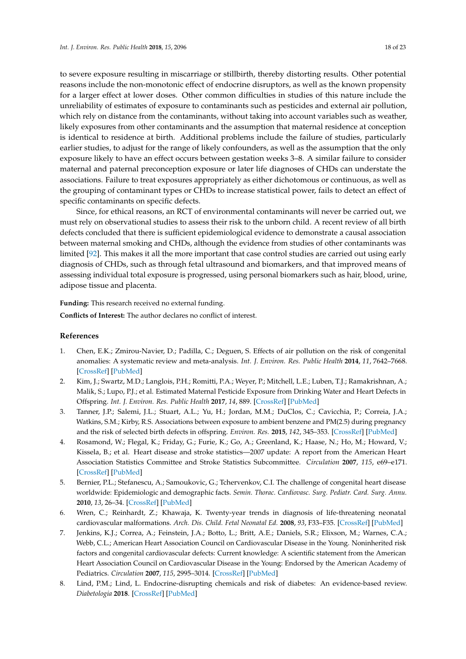to severe exposure resulting in miscarriage or stillbirth, thereby distorting results. Other potential reasons include the non-monotonic effect of endocrine disruptors, as well as the known propensity for a larger effect at lower doses. Other common difficulties in studies of this nature include the unreliability of estimates of exposure to contaminants such as pesticides and external air pollution, which rely on distance from the contaminants, without taking into account variables such as weather, likely exposures from other contaminants and the assumption that maternal residence at conception is identical to residence at birth. Additional problems include the failure of studies, particularly earlier studies, to adjust for the range of likely confounders, as well as the assumption that the only exposure likely to have an effect occurs between gestation weeks 3–8. A similar failure to consider maternal and paternal preconception exposure or later life diagnoses of CHDs can understate the associations. Failure to treat exposures appropriately as either dichotomous or continuous, as well as the grouping of contaminant types or CHDs to increase statistical power, fails to detect an effect of specific contaminants on specific defects.

Since, for ethical reasons, an RCT of environmental contaminants will never be carried out, we must rely on observational studies to assess their risk to the unborn child. A recent review of all birth defects concluded that there is sufficient epidemiological evidence to demonstrate a causal association between maternal smoking and CHDs, although the evidence from studies of other contaminants was limited [\[92\]](#page-22-8). This makes it all the more important that case control studies are carried out using early diagnosis of CHDs, such as through fetal ultrasound and biomarkers, and that improved means of assessing individual total exposure is progressed, using personal biomarkers such as hair, blood, urine, adipose tissue and placenta.

**Funding:** This research received no external funding.

**Conflicts of Interest:** The author declares no conflict of interest.

## **References**

- <span id="page-17-0"></span>1. Chen, E.K.; Zmirou-Navier, D.; Padilla, C.; Deguen, S. Effects of air pollution on the risk of congenital anomalies: A systematic review and meta-analysis. *Int. J. Environ. Res. Public Health* **2014**, *11*, 7642–7668. [\[CrossRef\]](http://dx.doi.org/10.3390/ijerph110807642) [\[PubMed\]](http://www.ncbi.nlm.nih.gov/pubmed/25089772)
- 2. Kim, J.; Swartz, M.D.; Langlois, P.H.; Romitti, P.A.; Weyer, P.; Mitchell, L.E.; Luben, T.J.; Ramakrishnan, A.; Malik, S.; Lupo, P.J.; et al. Estimated Maternal Pesticide Exposure from Drinking Water and Heart Defects in Offspring. *Int. J. Environ. Res. Public Health* **2017**, *14*, 889. [\[CrossRef\]](http://dx.doi.org/10.3390/ijerph14080889) [\[PubMed\]](http://www.ncbi.nlm.nih.gov/pubmed/28786932)
- <span id="page-17-1"></span>3. Tanner, J.P.; Salemi, J.L.; Stuart, A.L.; Yu, H.; Jordan, M.M.; DuClos, C.; Cavicchia, P.; Correia, J.A.; Watkins, S.M.; Kirby, R.S. Associations between exposure to ambient benzene and PM(2.5) during pregnancy and the risk of selected birth defects in offspring. *Environ. Res.* **2015**, *142*, 345–353. [\[CrossRef\]](http://dx.doi.org/10.1016/j.envres.2015.07.006) [\[PubMed\]](http://www.ncbi.nlm.nih.gov/pubmed/26196779)
- <span id="page-17-2"></span>4. Rosamond, W.; Flegal, K.; Friday, G.; Furie, K.; Go, A.; Greenland, K.; Haase, N.; Ho, M.; Howard, V.; Kissela, B.; et al. Heart disease and stroke statistics—2007 update: A report from the American Heart Association Statistics Committee and Stroke Statistics Subcommittee. *Circulation* **2007**, *115*, e69–e171. [\[CrossRef\]](http://dx.doi.org/10.1161/CIRCULATIONAHA.106.179918) [\[PubMed\]](http://www.ncbi.nlm.nih.gov/pubmed/17194875)
- <span id="page-17-3"></span>5. Bernier, P.L.; Stefanescu, A.; Samoukovic, G.; Tchervenkov, C.I. The challenge of congenital heart disease worldwide: Epidemiologic and demographic facts. *Semin. Thorac. Cardiovasc. Surg. Pediatr. Card. Surg. Annu.* **2010**, *13*, 26–34. [\[CrossRef\]](http://dx.doi.org/10.1053/j.pcsu.2010.02.005) [\[PubMed\]](http://www.ncbi.nlm.nih.gov/pubmed/20307858)
- <span id="page-17-4"></span>6. Wren, C.; Reinhardt, Z.; Khawaja, K. Twenty-year trends in diagnosis of life-threatening neonatal cardiovascular malformations. *Arch. Dis. Child. Fetal Neonatal Ed.* **2008**, *93*, F33–F35. [\[CrossRef\]](http://dx.doi.org/10.1136/adc.2007.119032) [\[PubMed\]](http://www.ncbi.nlm.nih.gov/pubmed/17556383)
- <span id="page-17-5"></span>7. Jenkins, K.J.; Correa, A.; Feinstein, J.A.; Botto, L.; Britt, A.E.; Daniels, S.R.; Elixson, M.; Warnes, C.A.; Webb, C.L.; American Heart Association Council on Cardiovascular Disease in the Young. Noninherited risk factors and congenital cardiovascular defects: Current knowledge: A scientific statement from the American Heart Association Council on Cardiovascular Disease in the Young: Endorsed by the American Academy of Pediatrics. *Circulation* **2007**, *115*, 2995–3014. [\[CrossRef\]](http://dx.doi.org/10.1161/CIRCULATIONAHA.106.183216) [\[PubMed\]](http://www.ncbi.nlm.nih.gov/pubmed/17519397)
- <span id="page-17-6"></span>8. Lind, P.M.; Lind, L. Endocrine-disrupting chemicals and risk of diabetes: An evidence-based review. *Diabetologia* **2018**. [\[CrossRef\]](http://dx.doi.org/10.1007/s00125-018-4621-3) [\[PubMed\]](http://www.ncbi.nlm.nih.gov/pubmed/29744538)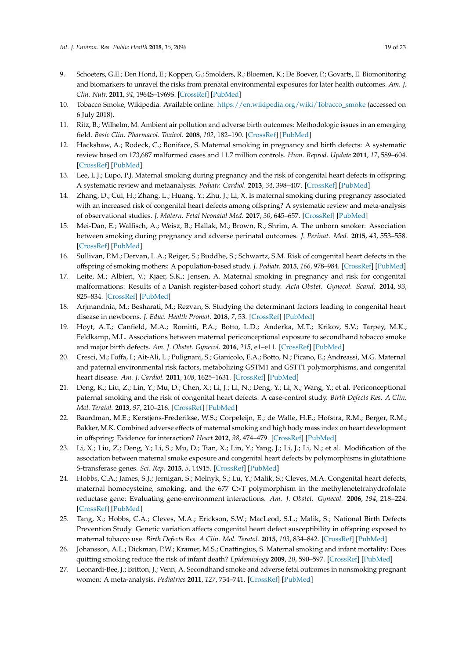- <span id="page-18-0"></span>9. Schoeters, G.E.; Den Hond, E.; Koppen, G.; Smolders, R.; Bloemen, K.; De Boever, P.; Govarts, E. Biomonitoring and biomarkers to unravel the risks from prenatal environmental exposures for later health outcomes. *Am. J. Clin. Nutr.* **2011**, *94*, 1964S–1969S. [\[CrossRef\]](http://dx.doi.org/10.3945/ajcn.110.001545) [\[PubMed\]](http://www.ncbi.nlm.nih.gov/pubmed/21543535)
- <span id="page-18-1"></span>10. Tobacco Smoke, Wikipedia. Available online: [https://en.wikipedia.org/wiki/Tobacco\\_smoke](https://en.wikipedia.org/wiki/Tobacco_smoke) (accessed on 6 July 2018).
- <span id="page-18-2"></span>11. Ritz, B.; Wilhelm, M. Ambient air pollution and adverse birth outcomes: Methodologic issues in an emerging field. *Basic Clin. Pharmacol. Toxicol.* **2008**, *102*, 182–190. [\[CrossRef\]](http://dx.doi.org/10.1111/j.1742-7843.2007.00161.x) [\[PubMed\]](http://www.ncbi.nlm.nih.gov/pubmed/18226073)
- <span id="page-18-3"></span>12. Hackshaw, A.; Rodeck, C.; Boniface, S. Maternal smoking in pregnancy and birth defects: A systematic review based on 173,687 malformed cases and 11.7 million controls. *Hum. Reprod. Update* **2011**, *17*, 589–604. [\[CrossRef\]](http://dx.doi.org/10.1093/humupd/dmr022) [\[PubMed\]](http://www.ncbi.nlm.nih.gov/pubmed/21747128)
- <span id="page-18-4"></span>13. Lee, L.J.; Lupo, P.J. Maternal smoking during pregnancy and the risk of congenital heart defects in offspring: A systematic review and metaanalysis. *Pediatr. Cardiol.* **2013**, *34*, 398–407. [\[CrossRef\]](http://dx.doi.org/10.1007/s00246-012-0470-x) [\[PubMed\]](http://www.ncbi.nlm.nih.gov/pubmed/22886364)
- <span id="page-18-5"></span>14. Zhang, D.; Cui, H.; Zhang, L.; Huang, Y.; Zhu, J.; Li, X. Is maternal smoking during pregnancy associated with an increased risk of congenital heart defects among offspring? A systematic review and meta-analysis of observational studies. *J. Matern. Fetal Neonatal Med.* **2017**, *30*, 645–657. [\[CrossRef\]](http://dx.doi.org/10.1080/14767058.2016.1183640) [\[PubMed\]](http://www.ncbi.nlm.nih.gov/pubmed/27126055)
- <span id="page-18-6"></span>15. Mei-Dan, E.; Walfisch, A.; Weisz, B.; Hallak, M.; Brown, R.; Shrim, A. The unborn smoker: Association between smoking during pregnancy and adverse perinatal outcomes. *J. Perinat. Med.* **2015**, *43*, 553–558. [\[CrossRef\]](http://dx.doi.org/10.1515/jpm-2014-0299) [\[PubMed\]](http://www.ncbi.nlm.nih.gov/pubmed/25389984)
- <span id="page-18-7"></span>16. Sullivan, P.M.; Dervan, L.A.; Reiger, S.; Buddhe, S.; Schwartz, S.M. Risk of congenital heart defects in the offspring of smoking mothers: A population-based study. *J. Pediatr.* **2015**, *166*, 978–984. [\[CrossRef\]](http://dx.doi.org/10.1016/j.jpeds.2014.11.042) [\[PubMed\]](http://www.ncbi.nlm.nih.gov/pubmed/25578997)
- <span id="page-18-8"></span>17. Leite, M.; Albieri, V.; Kjaer, S.K.; Jensen, A. Maternal smoking in pregnancy and risk for congenital malformations: Results of a Danish register-based cohort study. *Acta Obstet. Gynecol. Scand.* **2014**, *93*, 825–834. [\[CrossRef\]](http://dx.doi.org/10.1111/aogs.12433) [\[PubMed\]](http://www.ncbi.nlm.nih.gov/pubmed/24861914)
- <span id="page-18-9"></span>18. Arjmandnia, M.; Besharati, M.; Rezvan, S. Studying the determinant factors leading to congenital heart disease in newborns. *J. Educ. Health Promot.* **2018**, *7*, 53. [\[CrossRef\]](http://dx.doi.org/10.4103/jehp.jehp_146_17) [\[PubMed\]](http://www.ncbi.nlm.nih.gov/pubmed/29693034)
- <span id="page-18-10"></span>19. Hoyt, A.T.; Canfield, M.A.; Romitti, P.A.; Botto, L.D.; Anderka, M.T.; Krikov, S.V.; Tarpey, M.K.; Feldkamp, M.L. Associations between maternal periconceptional exposure to secondhand tobacco smoke and major birth defects. *Am. J. Obstet. Gynecol.* **2016**, *215*, e1–e11. [\[CrossRef\]](http://dx.doi.org/10.1016/j.ajog.2016.07.022) [\[PubMed\]](http://www.ncbi.nlm.nih.gov/pubmed/27443814)
- <span id="page-18-11"></span>20. Cresci, M.; Foffa, I.; Ait-Ali, L.; Pulignani, S.; Gianicolo, E.A.; Botto, N.; Picano, E.; Andreassi, M.G. Maternal and paternal environmental risk factors, metabolizing GSTM1 and GSTT1 polymorphisms, and congenital heart disease. *Am. J. Cardiol.* **2011**, *108*, 1625–1631. [\[CrossRef\]](http://dx.doi.org/10.1016/j.amjcard.2011.07.022) [\[PubMed\]](http://www.ncbi.nlm.nih.gov/pubmed/21890078)
- <span id="page-18-12"></span>21. Deng, K.; Liu, Z.; Lin, Y.; Mu, D.; Chen, X.; Li, J.; Li, N.; Deng, Y.; Li, X.; Wang, Y.; et al. Periconceptional paternal smoking and the risk of congenital heart defects: A case-control study. *Birth Defects Res. A Clin. Mol. Teratol.* **2013**, *97*, 210–216. [\[CrossRef\]](http://dx.doi.org/10.1002/bdra.23128) [\[PubMed\]](http://www.ncbi.nlm.nih.gov/pubmed/23554276)
- <span id="page-18-13"></span>22. Baardman, M.E.; Kerstjens-Frederikse, W.S.; Corpeleijn, E.; de Walle, H.E.; Hofstra, R.M.; Berger, R.M.; Bakker, M.K. Combined adverse effects of maternal smoking and high body mass index on heart development in offspring: Evidence for interaction? *Heart* **2012**, *98*, 474–479. [\[CrossRef\]](http://dx.doi.org/10.1136/heartjnl-2011-300822) [\[PubMed\]](http://www.ncbi.nlm.nih.gov/pubmed/22294555)
- <span id="page-18-14"></span>23. Li, X.; Liu, Z.; Deng, Y.; Li, S.; Mu, D.; Tian, X.; Lin, Y.; Yang, J.; Li, J.; Li, N.; et al. Modification of the association between maternal smoke exposure and congenital heart defects by polymorphisms in glutathione S-transferase genes. *Sci. Rep.* **2015**, *5*, 14915. [\[CrossRef\]](http://dx.doi.org/10.1038/srep14915) [\[PubMed\]](http://www.ncbi.nlm.nih.gov/pubmed/26456689)
- <span id="page-18-15"></span>24. Hobbs, C.A.; James, S.J.; Jernigan, S.; Melnyk, S.; Lu, Y.; Malik, S.; Cleves, M.A. Congenital heart defects, maternal homocysteine, smoking, and the 677 C>T polymorphism in the methylenetetrahydrofolate reductase gene: Evaluating gene-environment interactions. *Am. J. Obstet. Gynecol.* **2006**, *194*, 218–224. [\[CrossRef\]](http://dx.doi.org/10.1016/j.ajog.2005.06.016) [\[PubMed\]](http://www.ncbi.nlm.nih.gov/pubmed/16389035)
- <span id="page-18-16"></span>25. Tang, X.; Hobbs, C.A.; Cleves, M.A.; Erickson, S.W.; MacLeod, S.L.; Malik, S.; National Birth Defects Prevention Study. Genetic variation affects congenital heart defect susceptibility in offspring exposed to maternal tobacco use. *Birth Defects Res. A Clin. Mol. Teratol.* **2015**, *103*, 834–842. [\[CrossRef\]](http://dx.doi.org/10.1002/bdra.23370) [\[PubMed\]](http://www.ncbi.nlm.nih.gov/pubmed/26033827)
- <span id="page-18-17"></span>26. Johansson, A.L.; Dickman, P.W.; Kramer, M.S.; Cnattingius, S. Maternal smoking and infant mortality: Does quitting smoking reduce the risk of infant death? *Epidemiology* **2009**, *20*, 590–597. [\[CrossRef\]](http://dx.doi.org/10.1097/EDE.0b013e31819dcc6a) [\[PubMed\]](http://www.ncbi.nlm.nih.gov/pubmed/19289964)
- <span id="page-18-18"></span>27. Leonardi-Bee, J.; Britton, J.; Venn, A. Secondhand smoke and adverse fetal outcomes in nonsmoking pregnant women: A meta-analysis. *Pediatrics* **2011**, *127*, 734–741. [\[CrossRef\]](http://dx.doi.org/10.1542/peds.2010-3041) [\[PubMed\]](http://www.ncbi.nlm.nih.gov/pubmed/21382949)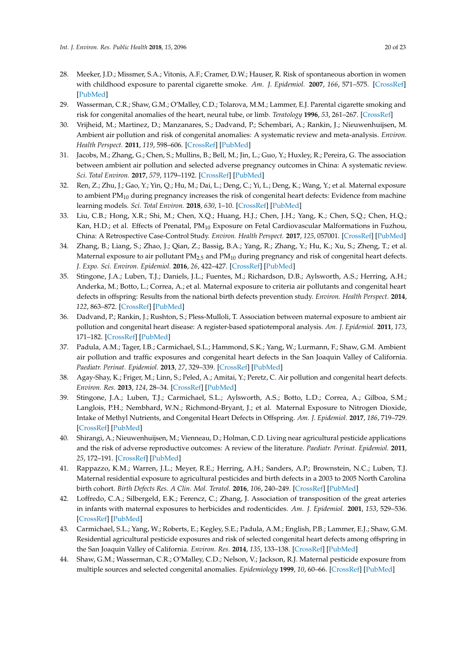- <span id="page-19-0"></span>28. Meeker, J.D.; Missmer, S.A.; Vitonis, A.F.; Cramer, D.W.; Hauser, R. Risk of spontaneous abortion in women with childhood exposure to parental cigarette smoke. *Am. J. Epidemiol.* **2007**, *166*, 571–575. [\[CrossRef\]](http://dx.doi.org/10.1093/aje/kwm128) [\[PubMed\]](http://www.ncbi.nlm.nih.gov/pubmed/17566062)
- <span id="page-19-1"></span>29. Wasserman, C.R.; Shaw, G.M.; O'Malley, C.D.; Tolarova, M.M.; Lammer, E.J. Parental cigarette smoking and risk for congenital anomalies of the heart, neural tube, or limb. *Teratology* **1996**, *53*, 261–267. [\[CrossRef\]](http://dx.doi.org/10.1002/(SICI)1096-9926(199604)53:4<261::AID-TERA9>3.0.CO;2-5)
- <span id="page-19-2"></span>30. Vrijheid, M.; Martinez, D.; Manzanares, S.; Dadvand, P.; Schembari, A.; Rankin, J.; Nieuwenhuijsen, M. Ambient air pollution and risk of congenital anomalies: A systematic review and meta-analysis. *Environ. Health Perspect.* **2011**, *119*, 598–606. [\[CrossRef\]](http://dx.doi.org/10.1289/ehp.1002946) [\[PubMed\]](http://www.ncbi.nlm.nih.gov/pubmed/21131253)
- <span id="page-19-3"></span>31. Jacobs, M.; Zhang, G.; Chen, S.; Mullins, B.; Bell, M.; Jin, L.; Guo, Y.; Huxley, R.; Pereira, G. The association between ambient air pollution and selected adverse pregnancy outcomes in China: A systematic review. *Sci. Total Environ.* **2017**, *579*, 1179–1192. [\[CrossRef\]](http://dx.doi.org/10.1016/j.scitotenv.2016.11.100) [\[PubMed\]](http://www.ncbi.nlm.nih.gov/pubmed/27913015)
- <span id="page-19-4"></span>32. Ren, Z.; Zhu, J.; Gao, Y.; Yin, Q.; Hu, M.; Dai, L.; Deng, C.; Yi, L.; Deng, K.; Wang, Y.; et al. Maternal exposure to ambient PM<sup>10</sup> during pregnancy increases the risk of congenital heart defects: Evidence from machine learning models. *Sci. Total Environ.* **2018**, *630*, 1–10. [\[CrossRef\]](http://dx.doi.org/10.1016/j.scitotenv.2018.02.181) [\[PubMed\]](http://www.ncbi.nlm.nih.gov/pubmed/29471186)
- <span id="page-19-5"></span>33. Liu, C.B.; Hong, X.R.; Shi, M.; Chen, X.Q.; Huang, H.J.; Chen, J.H.; Yang, K.; Chen, S.Q.; Chen, H.Q.; Kan, H.D.; et al. Effects of Prenatal, PM<sub>10</sub> Exposure on Fetal Cardiovascular Malformations in Fuzhou, China: A Retrospective Case-Control Study. *Environ. Health Perspect.* **2017**, *125*, 057001. [\[CrossRef\]](http://dx.doi.org/10.1289/EHP289) [\[PubMed\]](http://www.ncbi.nlm.nih.gov/pubmed/28557713)
- <span id="page-19-6"></span>34. Zhang, B.; Liang, S.; Zhao, J.; Qian, Z.; Bassig, B.A.; Yang, R.; Zhang, Y.; Hu, K.; Xu, S.; Zheng, T.; et al. Maternal exposure to air pollutant  $PM_{2.5}$  and  $PM_{10}$  during pregnancy and risk of congenital heart defects. *J. Expo. Sci. Environ. Epidemiol.* **2016**, *26*, 422–427. [\[CrossRef\]](http://dx.doi.org/10.1038/jes.2016.1) [\[PubMed\]](http://www.ncbi.nlm.nih.gov/pubmed/26883477)
- <span id="page-19-7"></span>35. Stingone, J.A.; Luben, T.J.; Daniels, J.L.; Fuentes, M.; Richardson, D.B.; Aylsworth, A.S.; Herring, A.H.; Anderka, M.; Botto, L.; Correa, A.; et al. Maternal exposure to criteria air pollutants and congenital heart defects in offspring: Results from the national birth defects prevention study. *Environ. Health Perspect.* **2014**, *122*, 863–872. [\[CrossRef\]](http://dx.doi.org/10.1289/ehp.1307289) [\[PubMed\]](http://www.ncbi.nlm.nih.gov/pubmed/24727555)
- <span id="page-19-8"></span>36. Dadvand, P.; Rankin, J.; Rushton, S.; Pless-Mulloli, T. Association between maternal exposure to ambient air pollution and congenital heart disease: A register-based spatiotemporal analysis. *Am. J. Epidemiol.* **2011**, *173*, 171–182. [\[CrossRef\]](http://dx.doi.org/10.1093/aje/kwq342) [\[PubMed\]](http://www.ncbi.nlm.nih.gov/pubmed/21123851)
- <span id="page-19-9"></span>37. Padula, A.M.; Tager, I.B.; Carmichael, S.L.; Hammond, S.K.; Yang, W.; Lurmann, F.; Shaw, G.M. Ambient air pollution and traffic exposures and congenital heart defects in the San Joaquin Valley of California. *Paediatr. Perinat. Epidemiol.* **2013**, *27*, 329–339. [\[CrossRef\]](http://dx.doi.org/10.1111/ppe.12055) [\[PubMed\]](http://www.ncbi.nlm.nih.gov/pubmed/23772934)
- <span id="page-19-10"></span>38. Agay-Shay, K.; Friger, M.; Linn, S.; Peled, A.; Amitai, Y.; Peretz, C. Air pollution and congenital heart defects. *Environ. Res.* **2013**, *124*, 28–34. [\[CrossRef\]](http://dx.doi.org/10.1016/j.envres.2013.03.005) [\[PubMed\]](http://www.ncbi.nlm.nih.gov/pubmed/23623715)
- <span id="page-19-11"></span>39. Stingone, J.A.; Luben, T.J.; Carmichael, S.L.; Aylsworth, A.S.; Botto, L.D.; Correa, A.; Gilboa, S.M.; Langlois, P.H.; Nembhard, W.N.; Richmond-Bryant, J.; et al. Maternal Exposure to Nitrogen Dioxide, Intake of Methyl Nutrients, and Congenital Heart Defects in Offspring. *Am. J. Epidemiol.* **2017**, *186*, 719–729. [\[CrossRef\]](http://dx.doi.org/10.1093/aje/kwx139) [\[PubMed\]](http://www.ncbi.nlm.nih.gov/pubmed/28520847)
- <span id="page-19-12"></span>40. Shirangi, A.; Nieuwenhuijsen, M.; Vienneau, D.; Holman, C.D. Living near agricultural pesticide applications and the risk of adverse reproductive outcomes: A review of the literature. *Paediatr. Perinat. Epidemiol.* **2011**, *25*, 172–191. [\[CrossRef\]](http://dx.doi.org/10.1111/j.1365-3016.2010.01165.x) [\[PubMed\]](http://www.ncbi.nlm.nih.gov/pubmed/21281330)
- <span id="page-19-13"></span>41. Rappazzo, K.M.; Warren, J.L.; Meyer, R.E.; Herring, A.H.; Sanders, A.P.; Brownstein, N.C.; Luben, T.J. Maternal residential exposure to agricultural pesticides and birth defects in a 2003 to 2005 North Carolina birth cohort. *Birth Defects Res. A Clin. Mol. Teratol.* **2016**, *106*, 240–249. [\[CrossRef\]](http://dx.doi.org/10.1002/bdra.23479) [\[PubMed\]](http://www.ncbi.nlm.nih.gov/pubmed/26970546)
- <span id="page-19-14"></span>42. Loffredo, C.A.; Silbergeld, E.K.; Ferencz, C.; Zhang, J. Association of transposition of the great arteries in infants with maternal exposures to herbicides and rodenticides. *Am. J. Epidemiol.* **2001**, *153*, 529–536. [\[CrossRef\]](http://dx.doi.org/10.1093/aje/153.6.529) [\[PubMed\]](http://www.ncbi.nlm.nih.gov/pubmed/11257060)
- <span id="page-19-15"></span>43. Carmichael, S.L.; Yang, W.; Roberts, E.; Kegley, S.E.; Padula, A.M.; English, P.B.; Lammer, E.J.; Shaw, G.M. Residential agricultural pesticide exposures and risk of selected congenital heart defects among offspring in the San Joaquin Valley of California. *Environ. Res.* **2014**, *135*, 133–138. [\[CrossRef\]](http://dx.doi.org/10.1016/j.envres.2014.08.030) [\[PubMed\]](http://www.ncbi.nlm.nih.gov/pubmed/25262086)
- <span id="page-19-16"></span>44. Shaw, G.M.; Wasserman, C.R.; O'Malley, C.D.; Nelson, V.; Jackson, R.J. Maternal pesticide exposure from multiple sources and selected congenital anomalies. *Epidemiology* **1999**, *10*, 60–66. [\[CrossRef\]](http://dx.doi.org/10.1097/00001648-199901000-00011) [\[PubMed\]](http://www.ncbi.nlm.nih.gov/pubmed/9888281)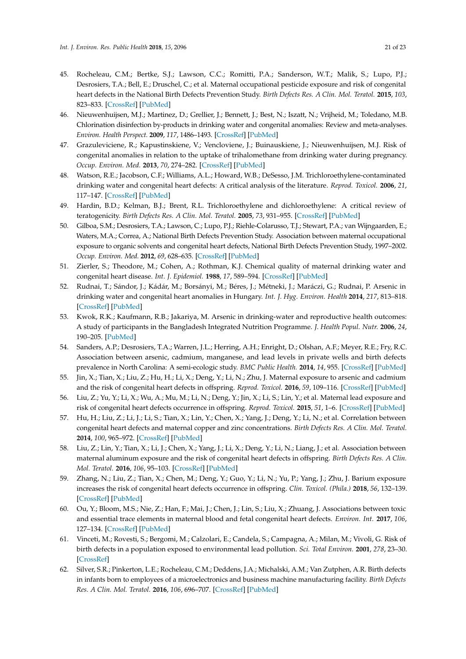- <span id="page-20-0"></span>45. Rocheleau, C.M.; Bertke, S.J.; Lawson, C.C.; Romitti, P.A.; Sanderson, W.T.; Malik, S.; Lupo, P.J.; Desrosiers, T.A.; Bell, E.; Druschel, C.; et al. Maternal occupational pesticide exposure and risk of congenital heart defects in the National Birth Defects Prevention Study. *Birth Defects Res. A Clin. Mol. Teratol.* **2015**, *103*, 823–833. [\[CrossRef\]](http://dx.doi.org/10.1002/bdra.23351) [\[PubMed\]](http://www.ncbi.nlm.nih.gov/pubmed/26033688)
- <span id="page-20-1"></span>46. Nieuwenhuijsen, M.J.; Martinez, D.; Grellier, J.; Bennett, J.; Best, N.; Iszatt, N.; Vrijheid, M.; Toledano, M.B. Chlorination disinfection by-products in drinking water and congenital anomalies: Review and meta-analyses. *Environ. Health Perspect.* **2009**, *117*, 1486–1493. [\[CrossRef\]](http://dx.doi.org/10.1289/ehp.0900677) [\[PubMed\]](http://www.ncbi.nlm.nih.gov/pubmed/20019896)
- <span id="page-20-2"></span>47. Grazuleviciene, R.; Kapustinskiene, V.; Vencloviene, J.; Buinauskiene, J.; Nieuwenhuijsen, M.J. Risk of congenital anomalies in relation to the uptake of trihalomethane from drinking water during pregnancy. *Occup. Environ. Med.* **2013**, *70*, 274–282. [\[CrossRef\]](http://dx.doi.org/10.1136/oemed-2012-101093) [\[PubMed\]](http://www.ncbi.nlm.nih.gov/pubmed/23404756)
- <span id="page-20-3"></span>48. Watson, R.E.; Jacobson, C.F.; Williams, A.L.; Howard, W.B.; DeSesso, J.M. Trichloroethylene-contaminated drinking water and congenital heart defects: A critical analysis of the literature. *Reprod. Toxicol.* **2006**, *21*, 117–147. [\[CrossRef\]](http://dx.doi.org/10.1016/j.reprotox.2005.07.013) [\[PubMed\]](http://www.ncbi.nlm.nih.gov/pubmed/16181768)
- <span id="page-20-4"></span>49. Hardin, B.D.; Kelman, B.J.; Brent, R.L. Trichloroethylene and dichloroethylene: A critical review of teratogenicity. *Birth Defects Res. A Clin. Mol. Teratol.* **2005**, *73*, 931–955. [\[CrossRef\]](http://dx.doi.org/10.1002/bdra.20192) [\[PubMed\]](http://www.ncbi.nlm.nih.gov/pubmed/16342278)
- <span id="page-20-5"></span>50. Gilboa, S.M.; Desrosiers, T.A.; Lawson, C.; Lupo, P.J.; Riehle-Colarusso, T.J.; Stewart, P.A.; van Wijngaarden, E.; Waters, M.A.; Correa, A.; National Birth Defects Prevention Study. Association between maternal occupational exposure to organic solvents and congenital heart defects, National Birth Defects Prevention Study, 1997–2002. *Occup. Environ. Med.* **2012**, *69*, 628–635. [\[CrossRef\]](http://dx.doi.org/10.1136/oemed-2011-100536) [\[PubMed\]](http://www.ncbi.nlm.nih.gov/pubmed/22811060)
- <span id="page-20-6"></span>51. Zierler, S.; Theodore, M.; Cohen, A.; Rothman, K.J. Chemical quality of maternal drinking water and congenital heart disease. *Int. J. Epidemiol.* **1988**, *17*, 589–594. [\[CrossRef\]](http://dx.doi.org/10.1093/ije/17.3.589) [\[PubMed\]](http://www.ncbi.nlm.nih.gov/pubmed/3209340)
- <span id="page-20-7"></span>52. Rudnai, T.; Sándor, J.; Kádár, M.; Borsányi, M.; Béres, J.; Métneki, J.; Maráczi, G.; Rudnai, P. Arsenic in drinking water and congenital heart anomalies in Hungary. *Int. J. Hyg. Environ. Health* **2014**, *217*, 813–818. [\[CrossRef\]](http://dx.doi.org/10.1016/j.ijheh.2014.05.002) [\[PubMed\]](http://www.ncbi.nlm.nih.gov/pubmed/24916166)
- <span id="page-20-8"></span>53. Kwok, R.K.; Kaufmann, R.B.; Jakariya, M. Arsenic in drinking-water and reproductive health outcomes: A study of participants in the Bangladesh Integrated Nutrition Programme. *J. Health Popul. Nutr.* **2006**, *24*, 190–205. [\[PubMed\]](http://www.ncbi.nlm.nih.gov/pubmed/17195560)
- <span id="page-20-9"></span>54. Sanders, A.P.; Desrosiers, T.A.; Warren, J.L.; Herring, A.H.; Enright, D.; Olshan, A.F.; Meyer, R.E.; Fry, R.C. Association between arsenic, cadmium, manganese, and lead levels in private wells and birth defects prevalence in North Carolina: A semi-ecologic study. *BMC Public Health.* **2014**, *14*, 955. [\[CrossRef\]](http://dx.doi.org/10.1186/1471-2458-14-955) [\[PubMed\]](http://www.ncbi.nlm.nih.gov/pubmed/25224535)
- <span id="page-20-10"></span>55. Jin, X.; Tian, X.; Liu, Z.; Hu, H.; Li, X.; Deng, Y.; Li, N.; Zhu, J. Maternal exposure to arsenic and cadmium and the risk of congenital heart defects in offspring. *Reprod. Toxicol.* **2016**, *59*, 109–116. [\[CrossRef\]](http://dx.doi.org/10.1016/j.reprotox.2015.12.007) [\[PubMed\]](http://www.ncbi.nlm.nih.gov/pubmed/26743994)
- <span id="page-20-11"></span>56. Liu, Z.; Yu, Y.; Li, X.; Wu, A.; Mu, M.; Li, N.; Deng, Y.; Jin, X.; Li, S.; Lin, Y.; et al. Maternal lead exposure and risk of congenital heart defects occurrence in offspring. *Reprod. Toxicol.* **2015**, *51*, 1–6. [\[CrossRef\]](http://dx.doi.org/10.1016/j.reprotox.2014.11.002) [\[PubMed\]](http://www.ncbi.nlm.nih.gov/pubmed/25462788)
- <span id="page-20-12"></span>57. Hu, H.; Liu, Z.; Li, J.; Li, S.; Tian, X.; Lin, Y.; Chen, X.; Yang, J.; Deng, Y.; Li, N.; et al. Correlation between congenital heart defects and maternal copper and zinc concentrations. *Birth Defects Res. A Clin. Mol. Teratol.* **2014**, *100*, 965–972. [\[CrossRef\]](http://dx.doi.org/10.1002/bdra.23284) [\[PubMed\]](http://www.ncbi.nlm.nih.gov/pubmed/25131520)
- <span id="page-20-13"></span>58. Liu, Z.; Lin, Y.; Tian, X.; Li, J.; Chen, X.; Yang, J.; Li, X.; Deng, Y.; Li, N.; Liang, J.; et al. Association between maternal aluminum exposure and the risk of congenital heart defects in offspring. *Birth Defects Res. A Clin. Mol. Teratol.* **2016**, *106*, 95–103. [\[CrossRef\]](http://dx.doi.org/10.1002/bdra.23464) [\[PubMed\]](http://www.ncbi.nlm.nih.gov/pubmed/26707789)
- <span id="page-20-14"></span>59. Zhang, N.; Liu, Z.; Tian, X.; Chen, M.; Deng, Y.; Guo, Y.; Li, N.; Yu, P.; Yang, J.; Zhu, J. Barium exposure increases the risk of congenital heart defects occurrence in offspring. *Clin. Toxicol. (Phila.)* **2018**, *56*, 132–139. [\[CrossRef\]](http://dx.doi.org/10.1080/15563650.2017.1343479) [\[PubMed\]](http://www.ncbi.nlm.nih.gov/pubmed/28705031)
- <span id="page-20-15"></span>60. Ou, Y.; Bloom, M.S.; Nie, Z.; Han, F.; Mai, J.; Chen, J.; Lin, S.; Liu, X.; Zhuang, J. Associations between toxic and essential trace elements in maternal blood and fetal congenital heart defects. *Environ. Int.* **2017**, *106*, 127–134. [\[CrossRef\]](http://dx.doi.org/10.1016/j.envint.2017.05.017) [\[PubMed\]](http://www.ncbi.nlm.nih.gov/pubmed/28645012)
- <span id="page-20-16"></span>61. Vinceti, M.; Rovesti, S.; Bergomi, M.; Calzolari, E.; Candela, S.; Campagna, A.; Milan, M.; Vivoli, G. Risk of birth defects in a population exposed to environmental lead pollution. *Sci. Total Environ.* **2001**, *278*, 23–30. [\[CrossRef\]](http://dx.doi.org/10.1016/S0048-9697(00)00885-8)
- <span id="page-20-17"></span>62. Silver, S.R.; Pinkerton, L.E.; Rocheleau, C.M.; Deddens, J.A.; Michalski, A.M.; Van Zutphen, A.R. Birth defects in infants born to employees of a microelectronics and business machine manufacturing facility. *Birth Defects Res. A Clin. Mol. Teratol.* **2016**, *106*, 696–707. [\[CrossRef\]](http://dx.doi.org/10.1002/bdra.23520) [\[PubMed\]](http://www.ncbi.nlm.nih.gov/pubmed/27224896)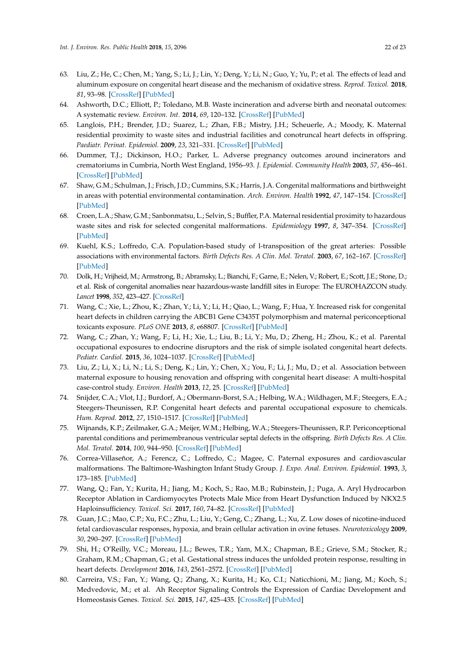- <span id="page-21-0"></span>63. Liu, Z.; He, C.; Chen, M.; Yang, S.; Li, J.; Lin, Y.; Deng, Y.; Li, N.; Guo, Y.; Yu, P.; et al. The effects of lead and aluminum exposure on congenital heart disease and the mechanism of oxidative stress. *Reprod. Toxicol.* **2018**, *81*, 93–98. [\[CrossRef\]](http://dx.doi.org/10.1016/j.reprotox.2018.07.081) [\[PubMed\]](http://www.ncbi.nlm.nih.gov/pubmed/30031113)
- <span id="page-21-1"></span>64. Ashworth, D.C.; Elliott, P.; Toledano, M.B. Waste incineration and adverse birth and neonatal outcomes: A systematic review. *Environ. Int.* **2014**, *69*, 120–132. [\[CrossRef\]](http://dx.doi.org/10.1016/j.envint.2014.04.003) [\[PubMed\]](http://www.ncbi.nlm.nih.gov/pubmed/24831282)
- <span id="page-21-2"></span>65. Langlois, P.H.; Brender, J.D.; Suarez, L.; Zhan, F.B.; Mistry, J.H.; Scheuerle, A.; Moody, K. Maternal residential proximity to waste sites and industrial facilities and conotruncal heart defects in offspring. *Paediatr. Perinat. Epidemiol.* **2009**, *23*, 321–331. [\[CrossRef\]](http://dx.doi.org/10.1111/j.1365-3016.2009.01045.x) [\[PubMed\]](http://www.ncbi.nlm.nih.gov/pubmed/19523079)
- <span id="page-21-3"></span>66. Dummer, T.J.; Dickinson, H.O.; Parker, L. Adverse pregnancy outcomes around incinerators and crematoriums in Cumbria, North West England, 1956–93. *J. Epidemiol. Community Health* **2003**, *57*, 456–461. [\[CrossRef\]](http://dx.doi.org/10.1136/jech.57.6.456) [\[PubMed\]](http://www.ncbi.nlm.nih.gov/pubmed/12775795)
- <span id="page-21-4"></span>67. Shaw, G.M.; Schulman, J.; Frisch, J.D.; Cummins, S.K.; Harris, J.A. Congenital malformations and birthweight in areas with potential environmental contamination. *Arch. Environ. Health* **1992**, *47*, 147–154. [\[CrossRef\]](http://dx.doi.org/10.1080/00039896.1992.10118769) [\[PubMed\]](http://www.ncbi.nlm.nih.gov/pubmed/1567240)
- <span id="page-21-7"></span>68. Croen, L.A.; Shaw, G.M.; Sanbonmatsu, L.; Selvin, S.; Buffler, P.A. Maternal residential proximity to hazardous waste sites and risk for selected congenital malformations. *Epidemiology* **1997**, *8*, 347–354. [\[CrossRef\]](http://dx.doi.org/10.1097/00001648-199707000-00001) [\[PubMed\]](http://www.ncbi.nlm.nih.gov/pubmed/9209846)
- <span id="page-21-5"></span>69. Kuehl, K.S.; Loffredo, C.A. Population-based study of l-transposition of the great arteries: Possible associations with environmental factors. *Birth Defects Res. A Clin. Mol. Teratol.* **2003**, *67*, 162–167. [\[CrossRef\]](http://dx.doi.org/10.1002/bdra.10015) [\[PubMed\]](http://www.ncbi.nlm.nih.gov/pubmed/12797457)
- <span id="page-21-6"></span>70. Dolk, H.; Vrijheid, M.; Armstrong, B.; Abramsky, L.; Bianchi, F.; Garne, E.; Nelen, V.; Robert, E.; Scott, J.E.; Stone, D.; et al. Risk of congenital anomalies near hazardous-waste landfill sites in Europe: The EUROHAZCON study. *Lancet* **1998**, *352*, 423–427. [\[CrossRef\]](http://dx.doi.org/10.1016/S0140-6736(98)01352-X)
- <span id="page-21-8"></span>71. Wang, C.; Xie, L.; Zhou, K.; Zhan, Y.; Li, Y.; Li, H.; Qiao, L.; Wang, F.; Hua, Y. Increased risk for congenital heart defects in children carrying the ABCB1 Gene C3435T polymorphism and maternal periconceptional toxicants exposure. *PLoS ONE* **2013**, *8*, e68807. [\[CrossRef\]](http://dx.doi.org/10.1371/journal.pone.0068807) [\[PubMed\]](http://www.ncbi.nlm.nih.gov/pubmed/23874772)
- <span id="page-21-9"></span>72. Wang, C.; Zhan, Y.; Wang, F.; Li, H.; Xie, L.; Liu, B.; Li, Y.; Mu, D.; Zheng, H.; Zhou, K.; et al. Parental occupational exposures to endocrine disruptors and the risk of simple isolated congenital heart defects. *Pediatr. Cardiol.* **2015**, *36*, 1024–1037. [\[CrossRef\]](http://dx.doi.org/10.1007/s00246-015-1116-6) [\[PubMed\]](http://www.ncbi.nlm.nih.gov/pubmed/25628158)
- <span id="page-21-10"></span>73. Liu, Z.; Li, X.; Li, N.; Li, S.; Deng, K.; Lin, Y.; Chen, X.; You, F.; Li, J.; Mu, D.; et al. Association between maternal exposure to housing renovation and offspring with congenital heart disease: A multi-hospital case-control study. *Environ. Health* **2013**, *12*, 25. [\[CrossRef\]](http://dx.doi.org/10.1186/1476-069X-12-25) [\[PubMed\]](http://www.ncbi.nlm.nih.gov/pubmed/23522351)
- <span id="page-21-11"></span>74. Snijder, C.A.; Vlot, I.J.; Burdorf, A.; Obermann-Borst, S.A.; Helbing, W.A.; Wildhagen, M.F.; Steegers, E.A.; Steegers-Theunissen, R.P. Congenital heart defects and parental occupational exposure to chemicals. *Hum. Reprod.* **2012**, *27*, 1510–1517. [\[CrossRef\]](http://dx.doi.org/10.1093/humrep/des043) [\[PubMed\]](http://www.ncbi.nlm.nih.gov/pubmed/22357765)
- <span id="page-21-12"></span>75. Wijnands, K.P.; Zeilmaker, G.A.; Meijer, W.M.; Helbing, W.A.; Steegers-Theunissen, R.P. Periconceptional parental conditions and perimembranous ventricular septal defects in the offspring. *Birth Defects Res. A Clin. Mol. Teratol.* **2014**, *100*, 944–950. [\[CrossRef\]](http://dx.doi.org/10.1002/bdra.23265) [\[PubMed\]](http://www.ncbi.nlm.nih.gov/pubmed/25196200)
- <span id="page-21-13"></span>76. Correa-Villaseñor, A.; Ferencz, C.; Loffredo, C.; Magee, C. Paternal exposures and cardiovascular malformations. The Baltimore-Washington Infant Study Group. *J. Expo. Anal. Environ. Epidemiol.* **1993**, *3*, 173–185. [\[PubMed\]](http://www.ncbi.nlm.nih.gov/pubmed/9857303)
- <span id="page-21-14"></span>77. Wang, Q.; Fan, Y.; Kurita, H.; Jiang, M.; Koch, S.; Rao, M.B.; Rubinstein, J.; Puga, A. Aryl Hydrocarbon Receptor Ablation in Cardiomyocytes Protects Male Mice from Heart Dysfunction Induced by NKX2.5 Haploinsufficiency. *Toxicol. Sci.* **2017**, *160*, 74–82. [\[CrossRef\]](http://dx.doi.org/10.1093/toxsci/kfx164) [\[PubMed\]](http://www.ncbi.nlm.nih.gov/pubmed/28973413)
- <span id="page-21-15"></span>78. Guan, J.C.; Mao, C.P.; Xu, F.C.; Zhu, L.; Liu, Y.; Geng, C.; Zhang, L.; Xu, Z. Low doses of nicotine-induced fetal cardiovascular responses, hypoxia, and brain cellular activation in ovine fetuses. *Neurotoxicology* **2009**, *30*, 290–297. [\[CrossRef\]](http://dx.doi.org/10.1016/j.neuro.2008.12.013) [\[PubMed\]](http://www.ncbi.nlm.nih.gov/pubmed/19459226)
- <span id="page-21-16"></span>79. Shi, H.; O'Reilly, V.C.; Moreau, J.L.; Bewes, T.R.; Yam, M.X.; Chapman, B.E.; Grieve, S.M.; Stocker, R.; Graham, R.M.; Chapman, G.; et al. Gestational stress induces the unfolded protein response, resulting in heart defects. *Development* **2016**, *143*, 2561–2572. [\[CrossRef\]](http://dx.doi.org/10.1242/dev.136820) [\[PubMed\]](http://www.ncbi.nlm.nih.gov/pubmed/27436040)
- <span id="page-21-17"></span>80. Carreira, V.S.; Fan, Y.; Wang, Q.; Zhang, X.; Kurita, H.; Ko, C.I.; Naticchioni, M.; Jiang, M.; Koch, S.; Medvedovic, M.; et al. Ah Receptor Signaling Controls the Expression of Cardiac Development and Homeostasis Genes. *Toxicol. Sci.* **2015**, *147*, 425–435. [\[CrossRef\]](http://dx.doi.org/10.1093/toxsci/kfv138) [\[PubMed\]](http://www.ncbi.nlm.nih.gov/pubmed/26139165)